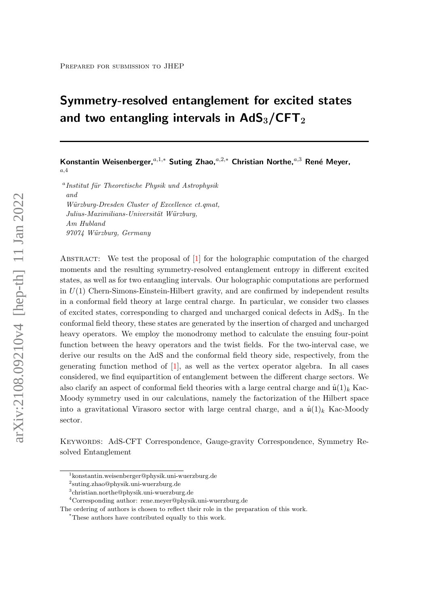# Symmetry-resolved entanglement for excited states and two entangling intervals in  $AdS_3/CFT_2$

Konstantin Weisenberger,<sup>a,1,\*</sup> Suting Zhao,<sup>a,2,\*</sup> Christian Northe,<sup>a,3</sup> René Meyer, a,4

<sup>a</sup> Institut für Theoretische Physik und Astrophysik and Würzburg-Dresden Cluster of Excellence ct.qmat, Julius-Maximilians-Universität Würzburg, Am Hubland 97074 Würzburg, Germany

Abstract: We test the proposal of [\[1\]](#page-27-0) for the holographic computation of the charged moments and the resulting symmetry-resolved entanglement entropy in different excited states, as well as for two entangling intervals. Our holographic computations are performed in  $U(1)$  Chern-Simons-Einstein-Hilbert gravity, and are confirmed by independent results in a conformal field theory at large central charge. In particular, we consider two classes of excited states, corresponding to charged and uncharged conical defects in AdS3. In the conformal field theory, these states are generated by the insertion of charged and uncharged heavy operators. We employ the monodromy method to calculate the ensuing four-point function between the heavy operators and the twist fields. For the two-interval case, we derive our results on the AdS and the conformal field theory side, respectively, from the generating function method of [\[1\]](#page-27-0), as well as the vertex operator algebra. In all cases considered, we find equipartition of entanglement between the different charge sectors. We also clarify an aspect of conformal field theories with a large central charge and  $\hat{u}(1)_k$  Kac-Moody symmetry used in our calculations, namely the factorization of the Hilbert space into a gravitational Virasoro sector with large central charge, and a  $\hat{u}(1)_k$  Kac-Moody sector.

Keywords: AdS-CFT Correspondence, Gauge-gravity Correspondence, Symmetry Resolved Entanglement

<sup>1</sup> konstantin.weisenberger@physik.uni-wuerzburg.de

<sup>2</sup> suting.zhao@physik.uni-wuerzburg.de

<sup>3</sup> christian.northe@physik.uni-wuerzburg.de

 $^4\rm{Corresponding}$  author: rene.meyer@physik.uni-wuerzburg.de

The ordering of authors is chosen to reflect their role in the preparation of this work.

<sup>\*</sup>These authors have contributed equally to this work.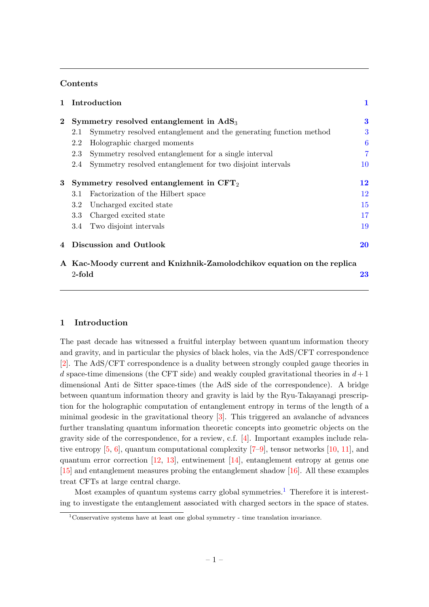## Contents

| $\mathbf{1}$ | Introduction                                                           |                                                                   | 1              |  |
|--------------|------------------------------------------------------------------------|-------------------------------------------------------------------|----------------|--|
| $\mathbf{2}$ | Symmetry resolved entanglement in $AdS_3$                              |                                                                   | 3              |  |
|              | 2.1                                                                    | Symmetry resolved entanglement and the generating function method | 3              |  |
|              | 2.2                                                                    | Holographic charged moments                                       | 6              |  |
|              | 2.3                                                                    | Symmetry resolved entanglement for a single interval              | $\overline{7}$ |  |
|              | 2.4                                                                    | Symmetry resolved entanglement for two disjoint intervals         | 10             |  |
| 3            | Symmetry resolved entanglement in $CFT_2$                              |                                                                   | 12             |  |
|              | 3.1                                                                    | Factorization of the Hilbert space                                | 12             |  |
|              | $3.2\,$                                                                | Uncharged excited state                                           | 15             |  |
|              | 3.3                                                                    | Charged excited state                                             | 17             |  |
|              | 3.4                                                                    | Two disjoint intervals                                            | 19             |  |
| 4            | Discussion and Outlook                                                 |                                                                   | 20             |  |
|              | A Kac-Moody current and Knizhnik-Zamolodchikov equation on the replica |                                                                   |                |  |

 $2-$ fold  $23$ 

# <span id="page-1-0"></span>1 Introduction

The past decade has witnessed a fruitful interplay between quantum information theory and gravity, and in particular the physics of black holes, via the AdS/CFT correspondence [\[2\]](#page-27-1). The AdS/CFT correspondence is a duality between strongly coupled gauge theories in d space-time dimensions (the CFT side) and weakly coupled gravitational theories in  $d+1$ dimensional Anti de Sitter space-times (the AdS side of the correspondence). A bridge between quantum information theory and gravity is laid by the Ryu-Takayanagi prescription for the holographic computation of entanglement entropy in terms of the length of a minimal geodesic in the gravitational theory [\[3\]](#page-27-2). This triggered an avalanche of advances further translating quantum information theoretic concepts into geometric objects on the gravity side of the correspondence, for a review, c.f. [\[4\]](#page-28-0). Important examples include relative entropy  $[5, 6]$  $[5, 6]$  $[5, 6]$ , quantum computational complexity  $[7-9]$  $[7-9]$ , tensor networks  $[10, 11]$  $[10, 11]$  $[10, 11]$ , and quantum error correction [\[12,](#page-28-7) [13\]](#page-28-8), entwinement [\[14\]](#page-28-9), entanglement entropy at genus one [\[15\]](#page-28-10) and entanglement measures probing the entanglement shadow [\[16\]](#page-28-11). All these examples treat CFTs at large central charge.

Most examples of quantum systems carry global symmetries.<sup>[1](#page-1-1)</sup> Therefore it is interesting to investigate the entanglement associated with charged sectors in the space of states.

<span id="page-1-1"></span><sup>&</sup>lt;sup>1</sup>Conservative systems have at least one global symmetry - time translation invariance.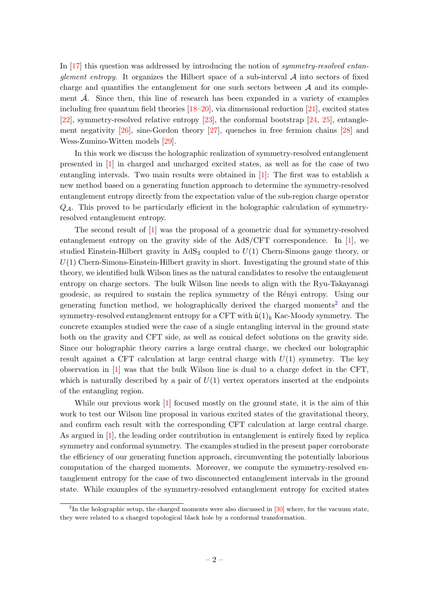In [\[17\]](#page-28-12) this question was addressed by introducing the notion of symmetry-resolved entanglement entropy. It organizes the Hilbert space of a sub-interval  $A$  into sectors of fixed charge and quantifies the entanglement for one such sectors between  $A$  and its complement  $\overline{\mathcal{A}}$ . Since then, this line of research has been expanded in a variety of examples including free quantum field theories [\[18–](#page-28-13)[20\]](#page-28-14), via dimensional reduction [\[21\]](#page-28-15), excited states [\[22\]](#page-28-16), symmetry-resolved relative entropy [\[23\]](#page-29-0), the conformal bootstrap [\[24,](#page-29-1) [25\]](#page-29-2), entanglement negativity [\[26\]](#page-29-3), sine-Gordon theory [\[27\]](#page-29-4), quenches in free fermion chains [\[28\]](#page-29-5) and Wess-Zumino-Witten models [\[29\]](#page-29-6).

In this work we discuss the holographic realization of symmetry-resolved entanglement presented in [\[1\]](#page-27-0) in charged and uncharged excited states, as well as for the case of two entangling intervals. Two main results were obtained in [\[1\]](#page-27-0): The first was to establish a new method based on a generating function approach to determine the symmetry-resolved entanglement entropy directly from the expectation value of the sub-region charge operator  $Q_{\mathcal{A}}$ . This proved to be particularly efficient in the holographic calculation of symmetryresolved entanglement entropy.

The second result of [\[1\]](#page-27-0) was the proposal of a geometric dual for symmetry-resolved entanglement entropy on the gravity side of the AdS/CFT correspondence. In [\[1\]](#page-27-0), we studied Einstein-Hilbert gravity in  $AdS_3$  coupled to  $U(1)$  Chern-Simons gauge theory, or  $U(1)$  Chern-Simons-Einstein-Hilbert gravity in short. Investigating the ground state of this theory, we identified bulk Wilson lines as the natural candidates to resolve the entanglement entropy on charge sectors. The bulk Wilson line needs to align with the Ryu-Takayanagi geodesic, as required to sustain the replica symmetry of the R´enyi entropy. Using our generating function method, we holographically derived the charged moments[2](#page-2-0) and the symmetry-resolved entanglement entropy for a CFT with  $\hat{u}(1)_k$  Kac-Moody symmetry. The concrete examples studied were the case of a single entangling interval in the ground state both on the gravity and CFT side, as well as conical defect solutions on the gravity side. Since our holographic theory carries a large central charge, we checked our holographic result against a CFT calculation at large central charge with  $U(1)$  symmetry. The key observation in [\[1\]](#page-27-0) was that the bulk Wilson line is dual to a charge defect in the CFT, which is naturally described by a pair of  $U(1)$  vertex operators inserted at the endpoints of the entangling region.

While our previous work [\[1\]](#page-27-0) focused mostly on the ground state, it is the aim of this work to test our Wilson line proposal in various excited states of the gravitational theory, and confirm each result with the corresponding CFT calculation at large central charge. As argued in [\[1\]](#page-27-0), the leading order contribution in entanglement is entirely fixed by replica symmetry and conformal symmetry. The examples studied in the present paper corroborate the efficiency of our generating function approach, circumventing the potentially laborious computation of the charged moments. Moreover, we compute the symmetry-resolved entanglement entropy for the case of two disconnected entanglement intervals in the ground state. While examples of the symmetry-resolved entanglement entropy for excited states

<span id="page-2-0"></span><sup>&</sup>lt;sup>2</sup>In the holographic setup, the charged moments were also discussed in  $[30]$  where, for the vacuum state, they were related to a charged topological black hole by a conformal transformation.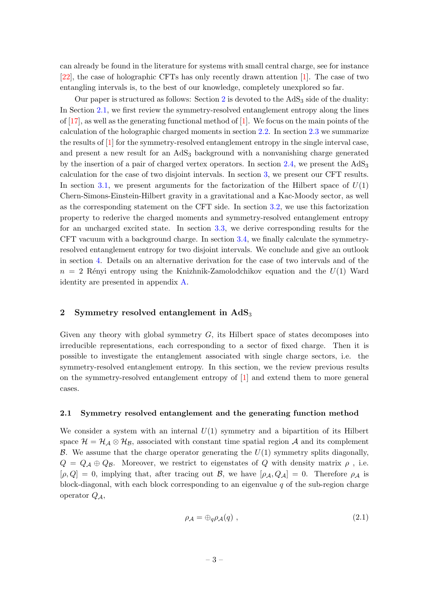can already be found in the literature for systems with small central charge, see for instance [\[22\]](#page-28-16), the case of holographic CFTs has only recently drawn attention [\[1\]](#page-27-0). The case of two entangling intervals is, to the best of our knowledge, completely unexplored so far.

Our paper is structured as follows: Section [2](#page-3-0) is devoted to the  $AdS<sub>3</sub>$  side of the duality: In Section [2.1,](#page-3-1) we first review the symmetry-resolved entanglement entropy along the lines of  $[17]$ , as well as the generating functional method of  $[1]$ . We focus on the main points of the calculation of the holographic charged moments in section [2.2.](#page-6-0) In section [2.3](#page-7-0) we summarize the results of [\[1\]](#page-27-0) for the symmetry-resolved entanglement entropy in the single interval case, and present a new result for an  $AdS<sub>3</sub>$  background with a nonvanishing charge generated by the insertion of a pair of charged vertex operators. In section  $2.4$ , we present the  $AdS_3$ calculation for the case of two disjoint intervals. In section [3,](#page-12-0) we present our CFT results. In section [3.1,](#page-12-1) we present arguments for the factorization of the Hilbert space of  $U(1)$ Chern-Simons-Einstein-Hilbert gravity in a gravitational and a Kac-Moody sector, as well as the corresponding statement on the CFT side. In section [3.2,](#page-15-0) we use this factorization property to rederive the charged moments and symmetry-resolved entanglement entropy for an uncharged excited state. In section [3.3,](#page-17-0) we derive corresponding results for the CFT vacuum with a background charge. In section [3.4,](#page-19-0) we finally calculate the symmetryresolved entanglement entropy for two disjoint intervals. We conclude and give an outlook in section [4.](#page-20-0) Details on an alternative derivation for the case of two intervals and of the  $n = 2$  Rényi entropy using the Knizhnik-Zamolodchikov equation and the  $U(1)$  Ward identity are presented in appendix [A.](#page-23-0)

## <span id="page-3-0"></span>2 Symmetry resolved entanglement in  $AdS_3$

Given any theory with global symmetry  $G$ , its Hilbert space of states decomposes into irreducible representations, each corresponding to a sector of fixed charge. Then it is possible to investigate the entanglement associated with single charge sectors, i.e. the symmetry-resolved entanglement entropy. In this section, we the review previous results on the symmetry-resolved entanglement entropy of [\[1\]](#page-27-0) and extend them to more general cases.

#### <span id="page-3-1"></span>2.1 Symmetry resolved entanglement and the generating function method

We consider a system with an internal  $U(1)$  symmetry and a bipartition of its Hilbert space  $\mathcal{H} = \mathcal{H}_{\mathcal{A}} \otimes \mathcal{H}_{\mathcal{B}}$ , associated with constant time spatial region  $\mathcal{A}$  and its complement B. We assume that the charge operator generating the  $U(1)$  symmetry splits diagonally,  $Q = Q_{\mathcal{A}} \oplus Q_{\mathcal{B}}$ . Moreover, we restrict to eigenstates of Q with density matrix  $\rho$ , i.e.  $[\rho, Q] = 0$ , implying that, after tracing out B, we have  $[\rho_A, Q_A] = 0$ . Therefore  $\rho_A$  is block-diagonal, with each block corresponding to an eigenvalue  $q$  of the sub-region charge operator  $Q_{\mathcal{A}}$ ,

<span id="page-3-2"></span>
$$
\rho_{\mathcal{A}} = \bigoplus_{q} \rho_{\mathcal{A}}(q) \tag{2.1}
$$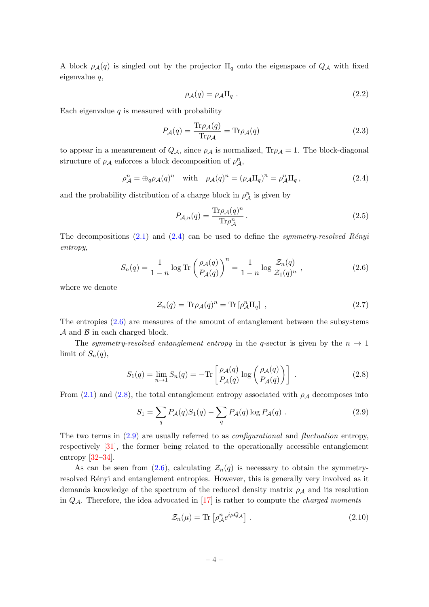A block  $\rho_{\mathcal{A}}(q)$  is singled out by the projector  $\Pi_q$  onto the eigenspace of  $Q_{\mathcal{A}}$  with fixed eigenvalue q,

$$
\rho_{\mathcal{A}}(q) = \rho_{\mathcal{A}} \Pi_q \tag{2.2}
$$

Each eigenvalue  $q$  is measured with probability

$$
P_{\mathcal{A}}(q) = \frac{\text{Tr}\rho_{\mathcal{A}}(q)}{\text{Tr}\rho_{\mathcal{A}}} = \text{Tr}\rho_{\mathcal{A}}(q)
$$
\n(2.3)

to appear in a measurement of  $Q_{\mathcal{A}}$ , since  $\rho_{\mathcal{A}}$  is normalized,  $\text{Tr}\rho_{\mathcal{A}}=1$ . The block-diagonal structure of  $\rho_{\mathcal{A}}$  enforces a block decomposition of  $\rho_{\mathcal{A}}^n$ ,

<span id="page-4-0"></span>
$$
\rho_{\mathcal{A}}^n = \bigoplus_{q} \rho_{\mathcal{A}}(q)^n \quad \text{with} \quad \rho_{\mathcal{A}}(q)^n = (\rho_{\mathcal{A}} \Pi_q)^n = \rho_{\mathcal{A}}^n \Pi_q \,, \tag{2.4}
$$

and the probability distribution of a charge block in  $\rho_A^n$  is given by

<span id="page-4-6"></span>
$$
P_{\mathcal{A},n}(q) = \frac{\text{Tr}\rho_{\mathcal{A}}(q)^n}{\text{Tr}\rho_{\mathcal{A}}^n} \,. \tag{2.5}
$$

The decompositions  $(2.1)$  and  $(2.4)$  can be used to define the *symmetry-resolved Rényi* entropy,

<span id="page-4-1"></span>
$$
S_n(q) = \frac{1}{1-n} \log \text{Tr} \left( \frac{\rho_{\mathcal{A}}(q)}{P_{\mathcal{A}}(q)} \right)^n = \frac{1}{1-n} \log \frac{\mathcal{Z}_n(q)}{\mathcal{Z}_1(q)^n} , \qquad (2.6)
$$

where we denote

<span id="page-4-4"></span>
$$
\mathcal{Z}_n(q) = \text{Tr}\rho_{\mathcal{A}}(q)^n = \text{Tr}\left[\rho_{\mathcal{A}}^n \Pi_q\right] \,,\tag{2.7}
$$

The entropies  $(2.6)$  are measures of the amount of entanglement between the subsystems  $\mathcal A$  and  $\mathcal B$  in each charged block.

The symmetry-resolved entanglement entropy in the q-sector is given by the  $n \to 1$ limit of  $S_n(q)$ ,

<span id="page-4-2"></span>
$$
S_1(q) = \lim_{n \to 1} S_n(q) = -\text{Tr}\left[\frac{\rho_{\mathcal{A}}(q)}{P_{\mathcal{A}}(q)} \log \left(\frac{\rho_{\mathcal{A}}(q)}{P_{\mathcal{A}}(q)}\right)\right] \tag{2.8}
$$

From [\(2.1\)](#page-3-2) and [\(2.8\)](#page-4-2), the total entanglement entropy associated with  $\rho_A$  decomposes into

<span id="page-4-3"></span>
$$
S_1 = \sum_q P_{\mathcal{A}}(q) S_1(q) - \sum_q P_{\mathcal{A}}(q) \log P_{\mathcal{A}}(q) . \qquad (2.9)
$$

The two terms in [\(2.9\)](#page-4-3) are usually referred to as configurational and fluctuation entropy, respectively [\[31\]](#page-29-8), the former being related to the operationally accessible entanglement entropy [\[32](#page-29-9)[–34\]](#page-29-10).

As can be seen from [\(2.6\)](#page-4-1), calculating  $\mathcal{Z}_n(q)$  is necessary to obtain the symmetryresolved Rényi and entanglement entropies. However, this is generally very involved as it demands knowledge of the spectrum of the reduced density matrix  $\rho_A$  and its resolution in  $Q_{\mathcal{A}}$ . Therefore, the idea advocated in [\[17\]](#page-28-12) is rather to compute the *charged moments* 

<span id="page-4-5"></span>
$$
\mathcal{Z}_n(\mu) = \text{Tr}\left[\rho_A^n e^{i\mu Q_A}\right].\tag{2.10}
$$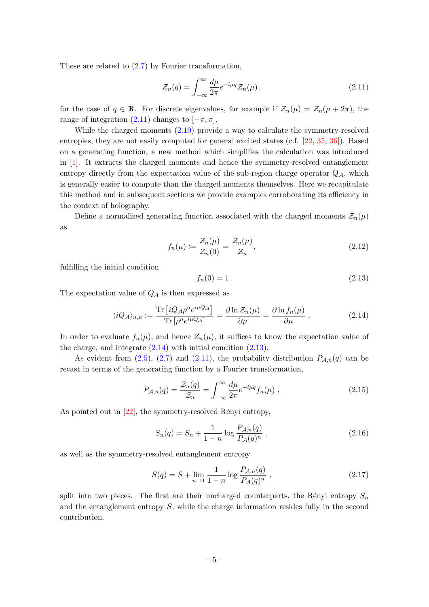These are related to [\(2.7\)](#page-4-4) by Fourier transformation,

<span id="page-5-0"></span>
$$
\mathcal{Z}_n(q) = \int_{-\infty}^{\infty} \frac{d\mu}{2\pi} e^{-i\mu q} \mathcal{Z}_n(\mu) , \qquad (2.11)
$$

for the case of  $q \in \mathbb{R}$ . For discrete eigenvalues, for example if  $\mathcal{Z}_n(\mu) = \mathcal{Z}_n(\mu + 2\pi)$ , the range of integration [\(2.11\)](#page-5-0) changes to  $[-\pi, \pi]$ .

While the charged moments [\(2.10\)](#page-4-5) provide a way to calculate the symmetry-resolved entropies, they are not easily computed for general excited states (c.f. [\[22,](#page-28-16) [35,](#page-29-11) [36\]](#page-29-12)). Based on a generating function, a new method which simplifies the calculation was introduced in [\[1\]](#page-27-0). It extracts the charged moments and hence the symmetry-resolved entanglement entropy directly from the expectation value of the sub-region charge operator  $Q_{\mathcal{A}}$ , which is generally easier to compute than the charged moments themselves. Here we recapitulate this method and in subsequent sections we provide examples corroborating its efficiency in the context of holography.

Define a normalized generating function associated with the charged moments  $\mathcal{Z}_n(\mu)$ as

<span id="page-5-4"></span>
$$
f_n(\mu) := \frac{\mathcal{Z}_n(\mu)}{\mathcal{Z}_n(0)} = \frac{\mathcal{Z}_n(\mu)}{\mathcal{Z}_n},\tag{2.12}
$$

fulfilling the initial condition

<span id="page-5-2"></span>
$$
f_n(0) = 1.
$$
\n(2.13)

The expectation value of  $Q_A$  is then expressed as

<span id="page-5-1"></span>
$$
\langle iQ_{\mathcal{A}} \rangle_{n,\mu} := \frac{\text{Tr}\left[iQ_{\mathcal{A}}\rho^{n}e^{i\mu Q_{\mathcal{A}}}\right]}{\text{Tr}\left[\rho^{n}e^{i\mu Q_{\mathcal{A}}}\right]} = \frac{\partial \ln \mathcal{Z}_{n}(\mu)}{\partial \mu} = \frac{\partial \ln f_{n}(\mu)}{\partial \mu}.
$$
 (2.14)

In order to evaluate  $f_n(\mu)$ , and hence  $Z_n(\mu)$ , it suffices to know the expectation value of the charge, and integrate  $(2.14)$  with initial condition  $(2.13)$ .

As evident from [\(2.5\)](#page-4-6), [\(2.7\)](#page-4-4) and [\(2.11\)](#page-5-0), the probability distribution  $P_{A,n}(q)$  can be recast in terms of the generating function by a Fourier transformation,

$$
P_{\mathcal{A},n}(q) = \frac{\mathcal{Z}_n(q)}{\mathcal{Z}_n} = \int_{-\infty}^{\infty} \frac{d\mu}{2\pi} e^{-i\mu q} f_n(\mu) , \qquad (2.15)
$$

As pointed out in  $[22]$ , the symmetry-resolved Rényi entropy,

$$
S_n(q) = S_n + \frac{1}{1 - n} \log \frac{P_{\mathcal{A},n}(q)}{P_{\mathcal{A}}(q)^n} \,, \tag{2.16}
$$

as well as the symmetry-resolved entanglement entropy

<span id="page-5-3"></span>
$$
S(q) = S + \lim_{n \to 1} \frac{1}{1 - n} \log \frac{P_{\mathcal{A},n}(q)}{P_{\mathcal{A}}(q)^n} ,
$$
\n(2.17)

split into two pieces. The first are their uncharged counterparts, the Rényi entropy  $S_n$ and the entanglement entropy  $S$ , while the charge information resides fully in the second contribution.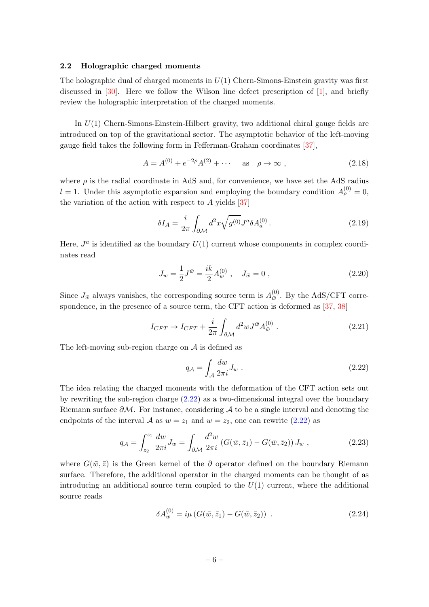## <span id="page-6-0"></span>2.2 Holographic charged moments

The holographic dual of charged moments in  $U(1)$  Chern-Simons-Einstein gravity was first discussed in [\[30\]](#page-29-7). Here we follow the Wilson line defect prescription of [\[1\]](#page-27-0), and briefly review the holographic interpretation of the charged moments.

In  $U(1)$  Chern-Simons-Einstein-Hilbert gravity, two additional chiral gauge fields are introduced on top of the gravitational sector. The asymptotic behavior of the left-moving gauge field takes the following form in Fefferman-Graham coordinates [\[37\]](#page-29-13),

$$
A = A^{(0)} + e^{-2\rho} A^{(2)} + \cdots \quad \text{as} \quad \rho \to \infty ,
$$
 (2.18)

where  $\rho$  is the radial coordinate in AdS and, for convenience, we have set the AdS radius  $l = 1$ . Under this asymptotic expansion and employing the boundary condition  $A_{\rho}^{(0)} = 0$ , the variation of the action with respect to  $A$  yields [\[37\]](#page-29-13)

$$
\delta I_A = \frac{i}{2\pi} \int_{\partial \mathcal{M}} d^2 x \sqrt{g^{(0)}} J^a \delta A_a^{(0)} \,. \tag{2.19}
$$

Here,  $J^a$  is identified as the boundary  $U(1)$  current whose components in complex coordinates read

$$
J_w = \frac{1}{2} J^{\bar{w}} = \frac{ik}{2} A_w^{(0)} , \quad J_{\bar{w}} = 0 , \qquad (2.20)
$$

Since  $J_{\bar{w}}$  always vanishes, the corresponding source term is  $A_{\bar{w}}^{(0)}$  $\frac{w}{w}$ . By the AdS/CFT correspondence, in the presence of a source term, the CFT action is deformed as  $[37, 38]$  $[37, 38]$  $[37, 38]$ 

$$
I_{CFT} \to I_{CFT} + \frac{i}{2\pi} \int_{\partial \mathcal{M}} d^2 w J^{\bar{w}} A_{\bar{w}}^{(0)} . \tag{2.21}
$$

The left-moving sub-region charge on  $A$  is defined as

<span id="page-6-2"></span><span id="page-6-1"></span>
$$
q_{\mathcal{A}} = \int_{\mathcal{A}} \frac{dw}{2\pi i} J_w \tag{2.22}
$$

The idea relating the charged moments with the deformation of the CFT action sets out by rewriting the sub-region charge [\(2.22\)](#page-6-1) as a two-dimensional integral over the boundary Riemann surface  $\partial M$ . For instance, considering A to be a single interval and denoting the endpoints of the interval A as  $w = z_1$  and  $w = z_2$ , one can rewrite [\(2.22\)](#page-6-1) as

$$
q_{\mathcal{A}} = \int_{z_2}^{z_1} \frac{dw}{2\pi i} J_w = \int_{\partial \mathcal{M}} \frac{d^2 w}{2\pi i} \left( G(\bar{w}, \bar{z}_1) - G(\bar{w}, \bar{z}_2) \right) J_w , \qquad (2.23)
$$

where  $G(\bar{w}, \bar{z})$  is the Green kernel of the ∂ operator defined on the boundary Riemann surface. Therefore, the additional operator in the charged moments can be thought of as introducing an additional source term coupled to the  $U(1)$  current, where the additional source reads

<span id="page-6-3"></span>
$$
\delta A_{\bar{w}}^{(0)} = i\mu \left( G(\bar{w}, \bar{z}_1) - G(\bar{w}, \bar{z}_2) \right) \tag{2.24}
$$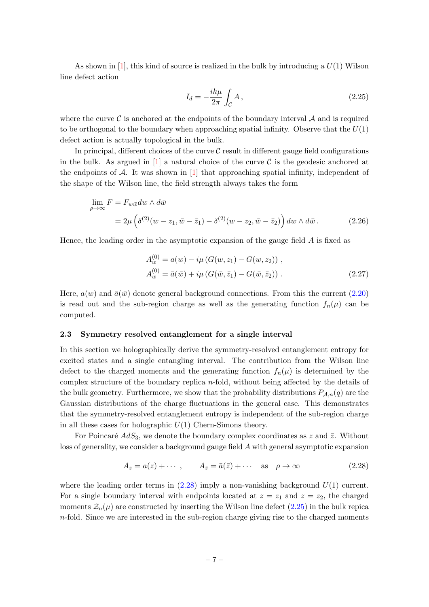As shown in [\[1\]](#page-27-0), this kind of source is realized in the bulk by introducing a  $U(1)$  Wilson line defect action

<span id="page-7-2"></span>
$$
I_d = -\frac{ik\mu}{2\pi} \int_{\mathcal{C}} A \,, \tag{2.25}
$$

where the curve  $\mathcal C$  is anchored at the endpoints of the boundary interval  $\mathcal A$  and is required to be orthogonal to the boundary when approaching spatial infinity. Observe that the  $U(1)$ defect action is actually topological in the bulk.

In principal, different choices of the curve  $\mathcal C$  result in different gauge field configurations in the bulk. As argued in [\[1\]](#page-27-0) a natural choice of the curve  $\mathcal C$  is the geodesic anchored at the endpoints of  $\mathcal A$ . It was shown in [\[1\]](#page-27-0) that approaching spatial infinity, independent of the shape of the Wilson line, the field strength always takes the form

$$
\lim_{\rho \to \infty} F = F_{w\bar{w}} dw \wedge d\bar{w}
$$
  
=  $2\mu \left( \delta^{(2)}(w - z_1, \bar{w} - \bar{z}_1) - \delta^{(2)}(w - z_2, \bar{w} - \bar{z}_2) \right) dw \wedge d\bar{w}.$  (2.26)

Hence, the leading order in the asymptotic expansion of the gauge field  $A$  is fixed as

<span id="page-7-3"></span>
$$
A_w^{(0)} = a(w) - i\mu (G(w, z_1) - G(w, z_2)),
$$
  
\n
$$
A_{\bar{w}}^{(0)} = \bar{a}(\bar{w}) + i\mu (G(\bar{w}, \bar{z}_1) - G(\bar{w}, \bar{z}_2)).
$$
\n(2.27)

Here,  $a(w)$  and  $\bar{a}(\bar{w})$  denote general background connections. From this the current [\(2.20\)](#page-6-2) is read out and the sub-region charge as well as the generating function  $f_n(\mu)$  can be computed.

## <span id="page-7-0"></span>2.3 Symmetry resolved entanglement for a single interval

In this section we holographically derive the symmetry-resolved entanglement entropy for excited states and a single entangling interval. The contribution from the Wilson line defect to the charged moments and the generating function  $f_n(\mu)$  is determined by the complex structure of the boundary replica n-fold, without being affected by the details of the bulk geometry. Furthermore, we show that the probability distributions  $P_{A,n}(q)$  are the Gaussian distributions of the charge fluctuations in the general case. This demonstrates that the symmetry-resolved entanglement entropy is independent of the sub-region charge in all these cases for holographic  $U(1)$  Chern-Simons theory.

For Poincaré  $AdS_3$ , we denote the boundary complex coordinates as z and  $\bar{z}$ . Without loss of generality, we consider a background gauge field A with general asymptotic expansion

<span id="page-7-1"></span>
$$
A_z = a(z) + \cdots, \qquad A_{\bar{z}} = \bar{a}(\bar{z}) + \cdots \quad \text{as} \quad \rho \to \infty \tag{2.28}
$$

where the leading order terms in  $(2.28)$  imply a non-vanishing background  $U(1)$  current. For a single boundary interval with endpoints located at  $z = z_1$  and  $z = z_2$ , the charged moments  $\mathcal{Z}_n(\mu)$  are constructed by inserting the Wilson line defect  $(2.25)$  in the bulk repica  $n$ -fold. Since we are interested in the sub-region charge giving rise to the charged moments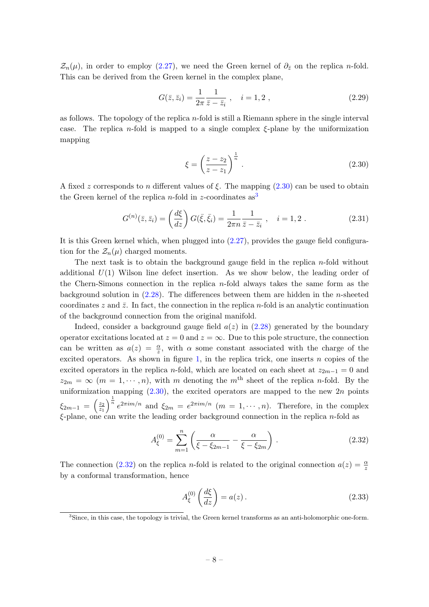$\mathcal{Z}_n(\mu)$ , in order to employ [\(2.27\)](#page-7-3), we need the Green kernel of  $\partial_{\bar{z}}$  on the replica n-fold. This can be derived from the Green kernel in the complex plane,

$$
G(\bar{z}, \bar{z}_i) = \frac{1}{2\pi} \frac{1}{\bar{z} - \bar{z}_i} , \quad i = 1, 2 , \qquad (2.29)
$$

as follows. The topology of the replica  $n$ -fold is still a Riemann sphere in the single interval case. The replica n-fold is mapped to a single complex  $\xi$ -plane by the uniformization mapping

<span id="page-8-3"></span><span id="page-8-0"></span>
$$
\xi = \left(\frac{z - z_2}{z - z_1}\right)^{\frac{1}{n}}.\tag{2.30}
$$

A fixed z corresponds to n different values of  $\xi$ . The mapping [\(2.30\)](#page-8-0) can be used to obtain the Green kernel of the replica *n*-fold in *z*-coordinates  $as^3$  $as^3$ 

$$
G^{(n)}(\bar{z}, \bar{z}_i) = \left(\frac{d\xi}{dz}\right) G(\bar{\xi}, \bar{\xi}_i) = \frac{1}{2\pi n} \frac{1}{\bar{z} - \bar{z}_i} , \quad i = 1, 2 . \tag{2.31}
$$

It is this Green kernel which, when plugged into [\(2.27\)](#page-7-3), provides the gauge field configuration for the  $\mathcal{Z}_n(\mu)$  charged moments.

The next task is to obtain the background gauge field in the replica  $n$ -fold without additional  $U(1)$  Wilson line defect insertion. As we show below, the leading order of the Chern-Simons connection in the replica  $n$ -fold always takes the same form as the background solution in [\(2.28\)](#page-7-1). The differences between them are hidden in the n-sheeted coordinates z and  $\bar{z}$ . In fact, the connection in the replica n-fold is an analytic continuation of the background connection from the original manifold.

Indeed, consider a background gauge field  $a(z)$  in [\(2.28\)](#page-7-1) generated by the boundary operator excitations located at  $z = 0$  and  $z = \infty$ . Due to this pole structure, the connection can be written as  $a(z) = \frac{\alpha}{z}$ , with  $\alpha$  some constant associated with the charge of the excited operators. As shown in figure [1,](#page-9-0) in the replica trick, one inserts  $n$  copies of the excited operators in the replica n-fold, which are located on each sheet at  $z_{2m-1} = 0$  and  $z_{2m} = \infty$  (m = 1,  $\cdots$ , n), with m denoting the m<sup>th</sup> sheet of the replica n-fold. By the uniformization mapping  $(2.30)$ , the excited operators are mapped to the new  $2n$  points  $\xi_{2m-1} = \left(\frac{z_2}{z_1}\right)$  $\overline{z_1}$  $\int_{0}^{\frac{1}{n}} e^{2\pi i m/n}$  and  $\xi_{2m} = e^{2\pi i m/n}$   $(m = 1, \dots, n)$ . Therefore, in the complex  $\xi$ -plane, one can write the leading order background connection in the replica *n*-fold as

$$
A_{\xi}^{(0)} = \sum_{m=1}^{n} \left( \frac{\alpha}{\xi - \xi_{2m-1}} - \frac{\alpha}{\xi - \xi_{2m}} \right).
$$
 (2.32)

The connection [\(2.32\)](#page-8-2) on the replica n-fold is related to the original connection  $a(z) = \frac{\alpha}{z}$ by a conformal transformation, hence

<span id="page-8-2"></span>
$$
A_{\xi}^{(0)}\left(\frac{d\xi}{dz}\right) = a(z). \tag{2.33}
$$

<span id="page-8-1"></span><sup>3</sup>Since, in this case, the topology is trivial, the Green kernel transforms as an anti-holomorphic one-form.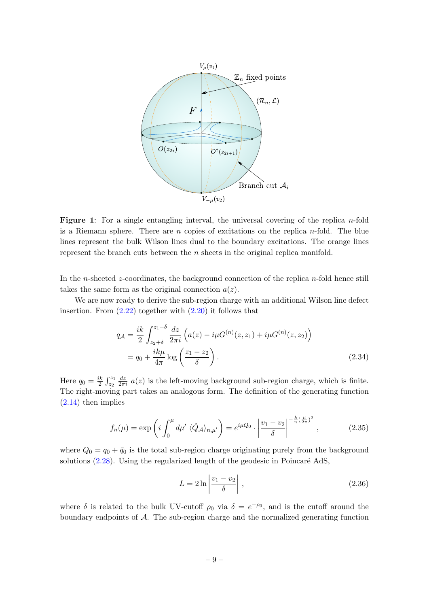<span id="page-9-0"></span>

**Figure 1:** For a single entangling interval, the universal covering of the replica *n*-fold is a Riemann sphere. There are  $n$  copies of excitations on the replica  $n$ -fold. The blue lines represent the bulk Wilson lines dual to the boundary excitations. The orange lines represent the branch cuts between the  $n$  sheets in the original replica manifold.

In the n-sheeted z-coordinates, the background connection of the replica  $n$ -fold hence still takes the same form as the original connection  $a(z)$ .

We are now ready to derive the sub-region charge with an additional Wilson line defect insertion. From  $(2.22)$  together with  $(2.20)$  it follows that

$$
q_{\mathcal{A}} = \frac{ik}{2} \int_{z_2 + \delta}^{z_1 - \delta} \frac{dz}{2\pi i} \left( a(z) - i\mu G^{(n)}(z, z_1) + i\mu G^{(n)}(z, z_2) \right)
$$
  
=  $q_0 + \frac{ik\mu}{4\pi} \log \left( \frac{z_1 - z_2}{\delta} \right).$  (2.34)

Here  $q_0 = \frac{ik}{2}$  $\frac{ik}{2}$   $\int_{z_2}^{z_1}$  $\frac{dz}{2\pi i}$  a(z) is the left-moving background sub-region charge, which is finite. The right-moving part takes an analogous form. The definition of the generating function [\(2.14\)](#page-5-1) then implies

$$
f_n(\mu) = \exp\left(i \int_0^{\mu} d\mu' \langle \hat{Q}_A \rangle_{n,\mu'}\right) = e^{i\mu Q_0} \cdot \left|\frac{v_1 - v_2}{\delta}\right|^{-\frac{k}{n}(\frac{\mu}{2\pi})^2},\tag{2.35}
$$

where  $Q_0 = q_0 + \bar{q}_0$  is the total sub-region charge originating purely from the background solutions  $(2.28)$ . Using the regularized length of the geodesic in Poincaré AdS,

<span id="page-9-1"></span>
$$
L = 2\ln\left|\frac{v_1 - v_2}{\delta}\right|,\tag{2.36}
$$

where  $\delta$  is related to the bulk UV-cutoff  $\rho_0$  via  $\delta = e^{-\rho_0}$ , and is the cutoff around the boundary endpoints of A. The sub-region charge and the normalized generating function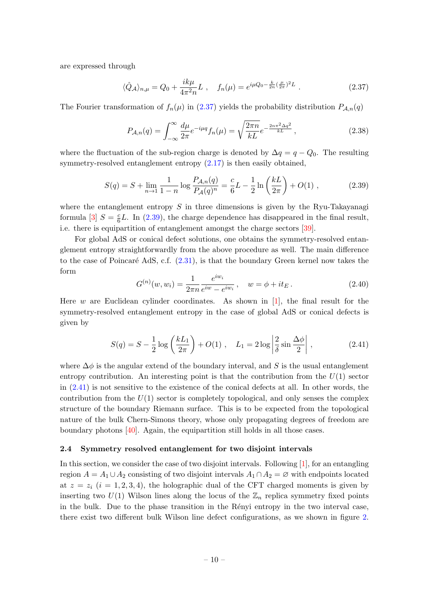are expressed through

<span id="page-10-1"></span>
$$
\langle \hat{Q}_A \rangle_{n,\mu} = Q_0 + \frac{ik\mu}{4\pi^2 n} L \;, \quad f_n(\mu) = e^{i\mu Q_0 - \frac{k}{2n}(\frac{\mu}{2\pi})^2 L} \; . \tag{2.37}
$$

The Fourier transformation of  $f_n(\mu)$  in [\(2.37\)](#page-10-1) yields the probability distribution  $P_{\mathcal{A},n}(q)$ 

$$
P_{\mathcal{A},n}(q) = \int_{-\infty}^{\infty} \frac{d\mu}{2\pi} e^{-i\mu q} f_n(\mu) = \sqrt{\frac{2\pi n}{kL}} e^{-\frac{2n\pi^2 \Delta q^2}{kL}}, \qquad (2.38)
$$

where the fluctuation of the sub-region charge is denoted by  $\Delta q = q - Q_0$ . The resulting symmetry-resolved entanglement entropy  $(2.17)$  is then easily obtained,

<span id="page-10-2"></span>
$$
S(q) = S + \lim_{n \to 1} \frac{1}{1 - n} \log \frac{P_{A,n}(q)}{P_A(q)^n} = \frac{c}{6} L - \frac{1}{2} \ln \left( \frac{kL}{2\pi} \right) + O(1) , \qquad (2.39)
$$

where the entanglement entropy  $S$  in three dimensions is given by the Ryu-Takayanagi formula [\[3\]](#page-27-2)  $S = \frac{c}{6}$  $\frac{c}{6}L$ . In [\(2.39\)](#page-10-2), the charge dependence has disappeared in the final result, i.e. there is equipartition of entanglement amongst the charge sectors [\[39\]](#page-29-15).

For global AdS or conical defect solutions, one obtains the symmetry-resolved entanglement entropy straightforwardly from the above procedure as well. The main difference to the case of Poincaré AdS, c.f.  $(2.31)$ , is that the boundary Green kernel now takes the form

$$
G^{(n)}(w, w_i) = \frac{1}{2\pi n} \frac{e^{iw_i}}{e^{iw} - e^{iw_i}}, \quad w = \phi + it_E.
$$
 (2.40)

Here w are Euclidean cylinder coordinates. As shown in  $[1]$ , the final result for the symmetry-resolved entanglement entropy in the case of global AdS or conical defects is given by

<span id="page-10-3"></span>
$$
S(q) = S - \frac{1}{2}\log\left(\frac{kL_1}{2\pi}\right) + O(1) , \quad L_1 = 2\log\left|\frac{2}{\delta}\sin\frac{\Delta\phi}{2}\right|, \tag{2.41}
$$

where  $\Delta\phi$  is the angular extend of the boundary interval, and S is the usual entanglement entropy contribution. An interesting point is that the contribution from the  $U(1)$  sector in [\(2.41\)](#page-10-3) is not sensitive to the existence of the conical defects at all. In other words, the contribution from the  $U(1)$  sector is completely topological, and only senses the complex structure of the boundary Riemann surface. This is to be expected from the topological nature of the bulk Chern-Simons theory, whose only propagating degrees of freedom are boundary photons [\[40\]](#page-29-16). Again, the equipartition still holds in all those cases.

#### <span id="page-10-0"></span>2.4 Symmetry resolved entanglement for two disjoint intervals

In this section, we consider the case of two disjoint intervals. Following [\[1\]](#page-27-0), for an entangling region  $A = A_1 \cup A_2$  consisting of two disjoint intervals  $A_1 \cap A_2 = \emptyset$  with endpoints located at  $z = z_i$   $(i = 1, 2, 3, 4)$ , the holographic dual of the CFT charged moments is given by inserting two  $U(1)$  Wilson lines along the locus of the  $\mathbb{Z}_n$  replica symmetry fixed points in the bulk. Due to the phase transition in the Rényi entropy in the two interval case, there exist two different bulk Wilson line defect configurations, as we shown in figure [2.](#page-11-0)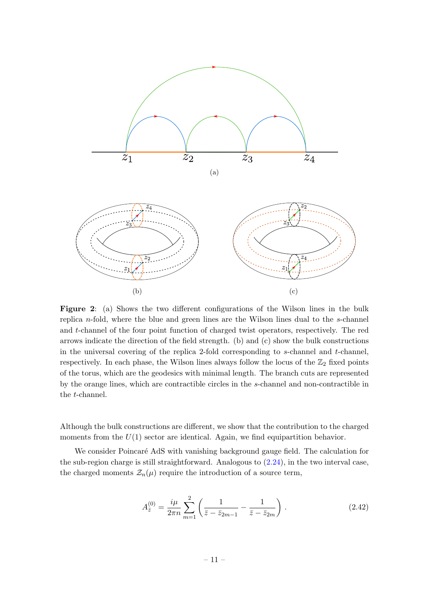<span id="page-11-0"></span>

Figure 2: (a) Shows the two different configurations of the Wilson lines in the bulk replica  $n$ -fold, where the blue and green lines are the Wilson lines dual to the  $s$ -channel and t-channel of the four point function of charged twist operators, respectively. The red arrows indicate the direction of the field strength. (b) and (c) show the bulk constructions in the universal covering of the replica 2-fold corresponding to  $s$ -channel and  $t$ -channel, respectively. In each phase, the Wilson lines always follow the locus of the  $\mathbb{Z}_2$  fixed points of the torus, which are the geodesics with minimal length. The branch cuts are represented by the orange lines, which are contractible circles in the s-channel and non-contractible in the t-channel.

Although the bulk constructions are different, we show that the contribution to the charged moments from the  $U(1)$  sector are identical. Again, we find equipartition behavior.

We consider Poincaré AdS with vanishing background gauge field. The calculation for the sub-region charge is still straightforward. Analogous to  $(2.24)$ , in the two interval case, the charged moments  $\mathcal{Z}_n(\mu)$  require the introduction of a source term,

<span id="page-11-1"></span>
$$
A_{\bar{z}}^{(0)} = \frac{i\mu}{2\pi n} \sum_{m=1}^{2} \left( \frac{1}{\bar{z} - \bar{z}_{2m-1}} - \frac{1}{\bar{z} - \bar{z}_{2m}} \right).
$$
 (2.42)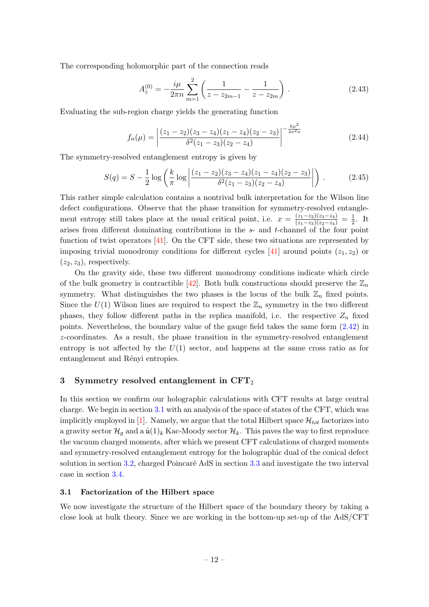The corresponding holomorphic part of the connection reads

$$
A_z^{(0)} = -\frac{i\mu}{2\pi n} \sum_{m=1}^2 \left( \frac{1}{z - z_{2m-1}} - \frac{1}{z - z_{2m}} \right) . \tag{2.43}
$$

Evaluating the sub-region charge yields the generating function

<span id="page-12-2"></span>
$$
f_n(\mu) = \left| \frac{(z_1 - z_2)(z_3 - z_4)(z_1 - z_4)(z_2 - z_3)}{\delta^2 (z_1 - z_3)(z_2 - z_4)} \right|^{-\frac{k\mu^2}{4\pi^2 n}} \tag{2.44}
$$

The symmetry-resolved entanglement entropy is given by

$$
S(q) = S - \frac{1}{2} \log \left( \frac{k}{\pi} \log \left| \frac{(z_1 - z_2)(z_3 - z_4)(z_1 - z_4)(z_2 - z_3)}{\delta^2 (z_1 - z_3)(z_2 - z_4)} \right| \right) \,. \tag{2.45}
$$

This rather simple calculation contains a nontrival bulk interpretation for the Wilson line defect configurations. Observe that the phase transition for symmetry-resolved entanglement entropy still takes place at the usual critical point, i.e.  $x = \frac{(z_1 - z_2)(z_3 - z_4)}{(z_1 - z_3)(z_2 - z_4)} = \frac{1}{2}$  $\frac{1}{2}$ . It arises from different dominating contributions in the s- and t-channel of the four point function of twist operators  $[41]$ . On the CFT side, these two situations are represented by imposing trivial monodromy conditions for different cycles [\[41\]](#page-29-17) around points  $(z_1, z_2)$  or  $(z_2, z_3)$ , respectively.

On the gravity side, these two different monodromy conditions indicate which circle of the bulk geometry is contractible [\[42\]](#page-30-0). Both bulk constructions should preserve the  $\mathbb{Z}_n$ symmetry. What distinguishes the two phases is the locus of the bulk  $\mathbb{Z}_n$  fixed points. Since the  $U(1)$  Wilson lines are required to respect the  $\mathbb{Z}_n$  symmetry in the two different phases, they follow different paths in the replica manifold, i.e. the respective  $Z_n$  fixed points. Nevertheless, the boundary value of the gauge field takes the same form [\(2.42\)](#page-11-1) in z-coordinates. As a result, the phase transition in the symmetry-resolved entanglement entropy is not affected by the  $U(1)$  sector, and happens at the same cross ratio as for entanglement and Rényi entropies.

#### <span id="page-12-0"></span>3 Symmetry resolved entanglement in CFT<sup>2</sup>

In this section we confirm our holographic calculations with CFT results at large central charge. We begin in section [3.1](#page-12-1) with an analysis of the space of states of the CFT, which was implicitly employed in [\[1\]](#page-27-0). Namely, we argue that the total Hilbert space  $\mathcal{H}_{tot}$  factorizes into a gravity sector  $\mathcal{H}_q$  and a  $\hat{\mu}(1)_k$  Kac-Moody sector  $\mathcal{H}_k$ . This paves the way to first reproduce the vacuum charged moments, after which we present CFT calculations of charged moments and symmetry-resolved entanglement entropy for the holographic dual of the conical defect solution in section [3.2,](#page-15-0) charged Poincaré AdS in section  $3.3$  and investigate the two interval case in section [3.4.](#page-19-0)

### <span id="page-12-1"></span>3.1 Factorization of the Hilbert space

We now investigate the structure of the Hilbert space of the boundary theory by taking a close look at bulk theory. Since we are working in the bottom-up set-up of the AdS/CFT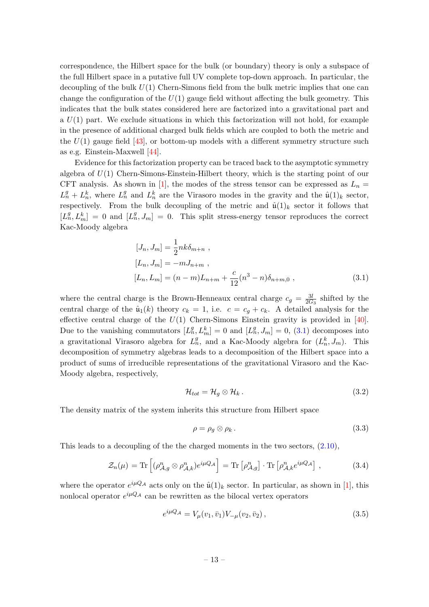correspondence, the Hilbert space for the bulk (or boundary) theory is only a subspace of the full Hilbert space in a putative full UV complete top-down approach. In particular, the decoupling of the bulk  $U(1)$  Chern-Simons field from the bulk metric implies that one can change the configuration of the  $U(1)$  gauge field without affecting the bulk geometry. This indicates that the bulk states considered here are factorized into a gravitational part and a  $U(1)$  part. We exclude situations in which this factorization will not hold, for example in the presence of additional charged bulk fields which are coupled to both the metric and the  $U(1)$  gauge field [\[43\]](#page-30-1), or bottom-up models with a different symmetry structure such as e.g. Einstein-Maxwell [\[44\]](#page-30-2).

Evidence for this factorization property can be traced back to the asymptotic symmetry algebra of  $U(1)$  Chern-Simons-Einstein-Hilbert theory, which is the starting point of our CFT analysis. As shown in [\[1\]](#page-27-0), the modes of the stress tensor can be expressed as  $L_n =$  $L_n^g + L_n^k$ , where  $L_n^g$  and  $L_n^k$  are the Virasoro modes in the gravity and the  $\hat{u}(1)_k$  sector, respectively. From the bulk decoupling of the metric and  $\hat{u}(1)_k$  sector it follows that  $[L_n^g, L_m^k] = 0$  and  $[L_n^g, J_m] = 0$ . This split stress-energy tensor reproduces the correct Kac-Moody algebra

$$
[J_n, J_m] = \frac{1}{2} n k \delta_{m+n} ,
$$
  
\n
$$
[L_n, J_m] = -m J_{n+m} ,
$$
  
\n
$$
[L_n, L_m] = (n-m) L_{n+m} + \frac{c}{12} (n^3 - n) \delta_{n+m,0} ,
$$
\n(3.1)

where the central charge is the Brown-Henneaux central charge  $c_g = \frac{3l}{2G}$  $\frac{3l}{2G_3}$  shifted by the central charge of the  $\hat{u}_1(k)$  theory  $c_k = 1$ , i.e.  $c = c_g + c_k$ . A detailed analysis for the effective central charge of the  $U(1)$  Chern-Simons Einstein gravity is provided in [\[40\]](#page-29-16). Due to the vanishing commutators  $[L_n^g, L_m^k] = 0$  and  $[L_n^g, J_m] = 0$ , [\(3.1\)](#page-13-0) decomposes into a gravitational Virasoro algebra for  $L_n^g$ , and a Kac-Moody algebra for  $(L_n^k, J_m)$ . This decomposition of symmetry algebras leads to a decomposition of the Hilbert space into a product of sums of irreducible representations of the gravitational Virasoro and the Kac-Moody algebra, respectively,

<span id="page-13-0"></span>
$$
\mathcal{H}_{tot} = \mathcal{H}_g \otimes \mathcal{H}_k. \tag{3.2}
$$

The density matrix of the system inherits this structure from Hilbert space

<span id="page-13-2"></span>
$$
\rho = \rho_g \otimes \rho_k. \tag{3.3}
$$

This leads to a decoupling of the the charged moments in the two sectors, [\(2.10\)](#page-4-5),

<span id="page-13-1"></span>
$$
\mathcal{Z}_n(\mu) = \text{Tr}\left[ (\rho_{\mathcal{A},g}^n \otimes \rho_{\mathcal{A},k}^n) e^{i\mu Q_{\mathcal{A}}} \right] = \text{Tr}\left[ \rho_{\mathcal{A},g}^n \right] \cdot \text{Tr}\left[ \rho_{\mathcal{A},k}^n e^{i\mu Q_{\mathcal{A}}} \right],\tag{3.4}
$$

where the operator  $e^{i\mu Q_{\mathcal{A}}}$  acts only on the  $\hat{\mu}(1)_k$  sector. In particular, as shown in [\[1\]](#page-27-0), this nonlocal operator  $e^{i\mu Q_{\mathcal{A}}}$  can be rewritten as the bilocal vertex operators

$$
e^{i\mu Q_{\mathcal{A}}} = V_{\mu}(v_1, \bar{v}_1)V_{-\mu}(v_2, \bar{v}_2), \qquad (3.5)
$$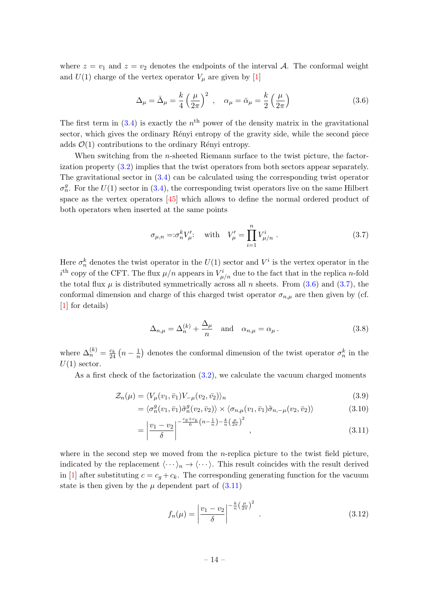where  $z = v_1$  and  $z = v_2$  denotes the endpoints of the interval A. The conformal weight and  $U(1)$  charge of the vertex operator  $V_{\mu}$  are given by [\[1\]](#page-27-0)

<span id="page-14-0"></span>
$$
\Delta_{\mu} = \bar{\Delta}_{\mu} = \frac{k}{4} \left(\frac{\mu}{2\pi}\right)^2 , \quad \alpha_{\mu} = \bar{\alpha}_{\mu} = \frac{k}{2} \left(\frac{\mu}{2\pi}\right)
$$
 (3.6)

The first term in  $(3.4)$  is exactly the  $n<sup>th</sup>$  power of the density matrix in the gravitational sector, which gives the ordinary Rényi entropy of the gravity side, while the second piece adds  $\mathcal{O}(1)$  contributions to the ordinary Rényi entropy.

When switching from the *n*-sheeted Riemann surface to the twist picture, the factorization property [\(3.2\)](#page-13-2) implies that the twist operators from both sectors appear separately. The gravitational sector in [\(3.4\)](#page-13-1) can be calculated using the corresponding twist operator  $\sigma_n^g$ . For the  $U(1)$  sector in [\(3.4\)](#page-13-1), the corresponding twist operators live on the same Hilbert space as the vertex operators [\[45\]](#page-30-3) which allows to define the normal ordered product of both operators when inserted at the same points

<span id="page-14-1"></span>
$$
\sigma_{\mu,n} = : \sigma_n^k V_{\mu}': \quad \text{with} \quad V_{\mu}' = \prod_{i=1}^n V_{\mu/n}^i \ . \tag{3.7}
$$

Here  $\sigma_n^k$  denotes the twist operator in the  $U(1)$  sector and  $V^i$  is the vertex operator in the  $i^{\text{th}}$  copy of the CFT. The flux  $\mu/n$  appears in  $V^i_{\mu/n}$  due to the fact that in the replica *n*-fold the total flux  $\mu$  is distributed symmetrically across all n sheets. From [\(3.6\)](#page-14-0) and [\(3.7\)](#page-14-1), the conformal dimension and charge of this charged twist operator  $\sigma_{n,\mu}$  are then given by (cf. [\[1\]](#page-27-0) for details)

<span id="page-14-4"></span>
$$
\Delta_{n,\mu} = \Delta_n^{(k)} + \frac{\Delta_\mu}{n} \quad \text{and} \quad \alpha_{n,\mu} = \alpha_\mu \,. \tag{3.8}
$$

where  $\Delta_n^{(k)} = \frac{c_k}{24} \left( n - \frac{1}{n} \right)$  $\frac{1}{n}$  denotes the conformal dimension of the twist operator  $\sigma_n^k$  in the  $U(1)$  sector.

As a first check of the factorization  $(3.2)$ , we calculate the vacuum charged moments

$$
\mathcal{Z}_n(\mu) = \langle V_\mu(v_1, \bar{v}_1) V_{-\mu}(v_2, \bar{v}_2) \rangle_n \tag{3.9}
$$

$$
= \langle \sigma_n^g(v_1, \bar{v}_1) \tilde{\sigma}_n^g(v_2, \bar{v}_2) \rangle \times \langle \sigma_{n,\mu}(v_1, \bar{v}_1) \tilde{\sigma}_{n,-\mu}(v_2, \bar{v}_2) \rangle \tag{3.10}
$$

$$
= \left| \frac{v_1 - v_2}{\delta} \right|^{-\frac{c_g + c_k}{6} \left(n - \frac{1}{n}\right) - \frac{k}{n} \left(\frac{\mu}{2\pi}\right)^2}, \tag{3.11}
$$

where in the second step we moved from the *n*-replica picture to the twist field picture, indicated by the replacement  $\langle \cdots \rangle_n \rightarrow \langle \cdots \rangle$ . This result coincides with the result derived in [\[1\]](#page-27-0) after substituting  $c = c_g + c_k$ . The corresponding generating function for the vacuum state is then given by the  $\mu$  dependent part of  $(3.11)$ 

<span id="page-14-3"></span><span id="page-14-2"></span>
$$
f_n(\mu) = \left| \frac{v_1 - v_2}{\delta} \right|^{-\frac{k}{n} \left(\frac{\mu}{2\pi}\right)^2} . \tag{3.12}
$$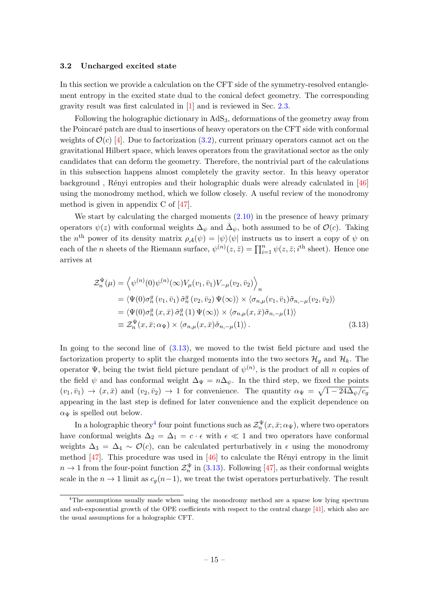#### <span id="page-15-0"></span>3.2 Uncharged excited state

In this section we provide a calculation on the CFT side of the symmetry-resolved entanglement entropy in the excited state dual to the conical defect geometry. The corresponding gravity result was first calculated in [\[1\]](#page-27-0) and is reviewed in Sec. [2.3.](#page-7-0)

Following the holographic dictionary in AdS3, deformations of the geometry away from the Poincaré patch are dual to insertions of heavy operators on the CFT side with conformal weights of  $\mathcal{O}(c)$  [\[4\]](#page-28-0). Due to factorization [\(3.2\)](#page-13-2), current primary operators cannot act on the gravitational Hilbert space, which leaves operators from the gravitational sector as the only candidates that can deform the geometry. Therefore, the nontrivial part of the calculations in this subsection happens almost completely the gravity sector. In this heavy operator background, Rényi entropies and their holographic duals were already calculated in  $[46]$ using the monodromy method, which we follow closely. A useful review of the monodromy method is given in appendix C of [\[47\]](#page-30-5).

We start by calculating the charged moments  $(2.10)$  in the presence of heavy primary operators  $\psi(z)$  with conformal weights  $\Delta_{\psi}$  and  $\bar{\Delta}_{\psi}$ , both assumed to be of  $\mathcal{O}(c)$ . Taking the n<sup>th</sup> power of its density matrix  $\rho_{\mathcal{A}}(\psi) = |\psi\rangle\langle\psi|$  instructs us to insert a copy of  $\psi$  on each of the *n* sheets of the Riemann surface,  $\psi^{(n)}(z,\bar{z}) = \prod_{i=1}^{n} \psi(z,\bar{z};i^{\text{th}} \text{ sheet})$ . Hence one arrives at

<span id="page-15-1"></span>
$$
\mathcal{Z}_{n}^{\Psi}(\mu) = \left\langle \psi^{(n)}(0)\psi^{(n)}(\infty)V_{\mu}(v_{1},\bar{v}_{1})V_{-\mu}(v_{2},\bar{v}_{2}) \right\rangle_{n} \n= \left\langle \Psi(0)\sigma_{n}^{g}(v_{1},\bar{v}_{1})\tilde{\sigma}_{n}^{g}(v_{2},\bar{v}_{2})\Psi(\infty) \right\rangle \times \left\langle \sigma_{n,\mu}(v_{1},\bar{v}_{1})\tilde{\sigma}_{n,-\mu}(v_{2},\bar{v}_{2}) \right\rangle \n= \left\langle \Psi(0)\sigma_{n}^{g}(x,\bar{x})\tilde{\sigma}_{n}^{g}(1)\Psi(\infty) \right\rangle \times \left\langle \sigma_{n,\mu}(x,\bar{x})\tilde{\sigma}_{n,-\mu}(1) \right\rangle \n\equiv \mathcal{Z}_{n}^{\Psi}(x,\bar{x};\alpha_{\Psi}) \times \left\langle \sigma_{n,\mu}(x,\bar{x})\tilde{\sigma}_{n,-\mu}(1) \right\rangle.
$$
\n(3.13)

In going to the second line of  $(3.13)$ , we moved to the twist field picture and used the factorization property to split the charged moments into the two sectors  $\mathcal{H}_g$  and  $\mathcal{H}_k$ . The operator  $\Psi$ , being the twist field picture pendant of  $\psi^{(n)}$ , is the product of all n copies of the field  $\psi$  and has conformal weight  $\Delta_{\Psi} = n \Delta_{\psi}$ . In the third step, we fixed the points  $(v_1, \bar{v}_1) \rightarrow (x, \bar{x})$  and  $(v_2, \bar{v}_2) \rightarrow 1$  for convenience. The quantity  $\alpha_{\Psi} = \sqrt{1 - 24 \Delta_{\psi}/c_g}$ appearing in the last step is defined for later convenience and the explicit dependence on  $\alpha_{\Psi}$  is spelled out below.

In a holographic theory<sup>[4](#page-15-2)</sup> four point functions such as  $\mathcal{Z}_n^{\Psi}(x,\bar{x};\alpha_\Psi),$  where two operators have conformal weights  $\Delta_2 = \Delta_1 = c \cdot \epsilon$  with  $\epsilon \ll 1$  and two operators have conformal weights  $\Delta_3 = \Delta_4 \sim \mathcal{O}(c)$ , can be calculated perturbatively in  $\epsilon$  using the monodromy method  $[47]$ . This procedure was used in  $[46]$  to calculate the Rényi entropy in the limit  $n \to 1$  from the four-point function  $\mathcal{Z}_n^{\Psi}$  in [\(3.13\)](#page-15-1). Following [\[47\]](#page-30-5), as their conformal weights scale in the  $n \to 1$  limit as  $c_q(n-1)$ , we treat the twist operators perturbatively. The result

<span id="page-15-2"></span><sup>&</sup>lt;sup>4</sup>The assumptions usually made when using the monodromy method are a sparse low lying spectrum and sub-exponential growth of the OPE coefficients with respect to the central charge [\[41\]](#page-29-17), which also are the usual assumptions for a holographic CFT.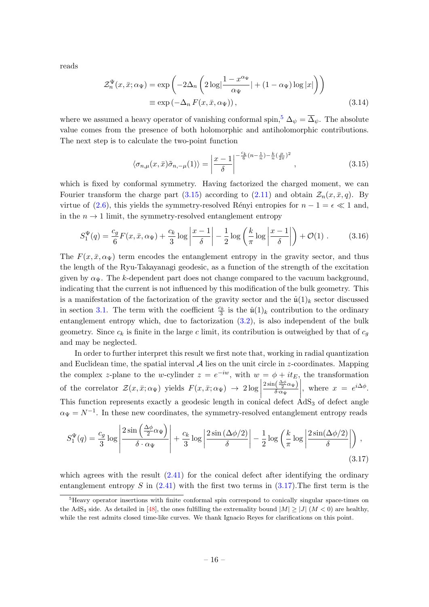reads

$$
\mathcal{Z}_n^{\Psi}(x,\bar{x};\alpha_{\Psi}) = \exp\left(-2\Delta_n \left(2\log\left|\frac{1-x^{\alpha_{\Psi}}}{\alpha_{\Psi}}\right| + (1-\alpha_{\Psi})\log|x|\right)\right)
$$

$$
\equiv \exp\left(-\Delta_n F(x,\bar{x},\alpha_{\Psi})\right),\tag{3.14}
$$

where we assumed a heavy operator of vanishing conformal spin,<sup>[5](#page-16-0)</sup>  $\Delta_{\psi} = \overline{\Delta}_{\psi}$ . The absolute value comes from the presence of both holomorphic and antiholomorphic contributions. The next step is to calculate the two-point function

<span id="page-16-3"></span><span id="page-16-1"></span>
$$
\langle \sigma_{n,\mu}(x,\bar{x})\tilde{\sigma}_{n,-\mu}(1)\rangle = \left|\frac{x-1}{\delta}\right|^{-\frac{c_k}{6}(n-\frac{1}{n})-\frac{k}{n}(\frac{\mu}{2\pi})^2},\tag{3.15}
$$

which is fixed by conformal symmetry. Having factorized the charged moment, we can Fourier transform the charge part [\(3.15\)](#page-16-1) according to [\(2.11\)](#page-5-0) and obtain  $\mathcal{Z}_n(x,\bar{x}, q)$ . By virtue of [\(2.6\)](#page-4-1), this yields the symmetry-resolved Rényi entropies for  $n - 1 = \epsilon \ll 1$  and, in the  $n \to 1$  limit, the symmetry-resolved entanglement entropy

$$
S_1^{\Psi}(q) = \frac{c_g}{6} F(x, \bar{x}, \alpha_{\Psi}) + \frac{c_k}{3} \log \left| \frac{x-1}{\delta} \right| - \frac{1}{2} \log \left( \frac{k}{\pi} \log \left| \frac{x-1}{\delta} \right| \right) + \mathcal{O}(1) \tag{3.16}
$$

The  $F(x, \bar{x}, \alpha_{\Psi})$  term encodes the entanglement entropy in the gravity sector, and thus the length of the Ryu-Takayanagi geodesic, as a function of the strength of the excitation given by  $\alpha_{\Psi}$ . The k-dependent part does not change compared to the vacuum background, indicating that the current is not influenced by this modification of the bulk geometry. This is a manifestation of the factorization of the gravity sector and the  $\hat{u}(1)_k$  sector discussed in section [3.1.](#page-12-1) The term with the coefficient  $\frac{c_k}{3}$  is the  $\hat{u}(1)_k$  contribution to the ordinary entanglement entropy which, due to factorization [\(3.2\)](#page-13-2), is also independent of the bulk geometry. Since  $c_k$  is finite in the large c limit, its contribution is outweighed by that of  $c_g$ and may be neglected.

In order to further interpret this result we first note that, working in radial quantization and Euclidean time, the spatial interval  $A$  lies on the unit circle in z-coordinates. Mapping the complex z-plane to the w-cylinder  $z = e^{-iw}$ , with  $w = \phi + it_E$ , the transformation of the correlator  $\mathcal{Z}(x,\bar{x}; \alpha_{\Psi})$  yields  $F(x,\bar{x}; \alpha_{\Psi}) \rightarrow 2 \log \left| \frac{\partial F(x,\bar{x}; \alpha_{\Psi})}{\partial \Omega_{\Psi}} \right|$ This function represents exactly a geodesic length in conical defect  $AdS_3$  of defect angle  $2\sin\left(\frac{\Delta\phi}{2}\alpha_\Psi\right)$  $\delta{\cdot}\alpha_\Psi$  $\Big\}, \text{ where } x = e^{i\Delta \phi}.$  $\alpha_{\Psi} = N^{-1}$ . In these new coordinates, the symmetry-resolved entanglement entropy reads

<span id="page-16-2"></span>
$$
S_1^{\Psi}(q) = \frac{c_g}{3} \log \left| \frac{2 \sin \left( \frac{\Delta \phi}{2} \alpha_{\Psi} \right)}{\delta \cdot \alpha_{\Psi}} \right| + \frac{c_k}{3} \log \left| \frac{2 \sin \left( \Delta \phi/2 \right)}{\delta} \right| - \frac{1}{2} \log \left( \frac{k}{\pi} \log \left| \frac{2 \sin \left( \Delta \phi/2 \right)}{\delta} \right| \right),\tag{3.17}
$$

which agrees with the result  $(2.41)$  for the conical defect after identifying the ordinary entanglement entropy S in  $(2.41)$  with the first two terms in  $(3.17)$ . The first term is the

<span id="page-16-0"></span><sup>&</sup>lt;sup>5</sup>Heavy operator insertions with finite conformal spin correspond to conically singular space-times on the AdS<sub>3</sub> side. As detailed in [\[48\]](#page-30-6), the ones fulfilling the extremality bound  $|M| > |J|$  ( $M < 0$ ) are healthy, while the rest admits closed time-like curves. We thank Ignacio Reyes for clarifications on this point.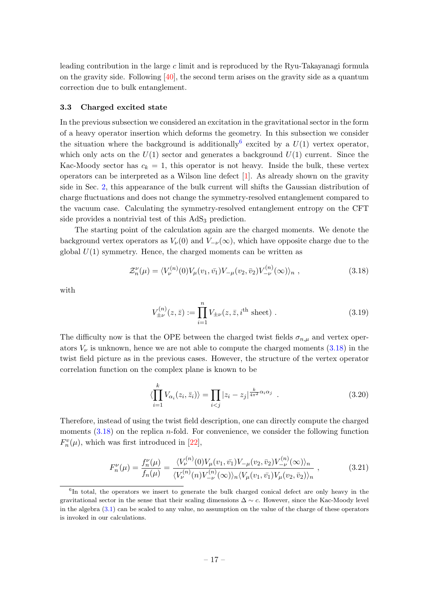leading contribution in the large  $c$  limit and is reproduced by the Ryu-Takayanagi formula on the gravity side. Following [\[40\]](#page-29-16), the second term arises on the gravity side as a quantum correction due to bulk entanglement.

### <span id="page-17-0"></span>3.3 Charged excited state

In the previous subsection we considered an excitation in the gravitational sector in the form of a heavy operator insertion which deforms the geometry. In this subsection we consider the situation where the background is additionally <sup>[6](#page-17-1)</sup> excited by a  $U(1)$  vertex operator, which only acts on the  $U(1)$  sector and generates a background  $U(1)$  current. Since the Kac-Moody sector has  $c_k = 1$ , this operator is not heavy. Inside the bulk, these vertex operators can be interpreted as a Wilson line defect [\[1\]](#page-27-0). As already shown on the gravity side in Sec. [2,](#page-3-0) this appearance of the bulk current will shifts the Gaussian distribution of charge fluctuations and does not change the symmetry-resolved entanglement compared to the vacuum case. Calculating the symmetry-resolved entanglement entropy on the CFT side provides a nontrivial test of this  $AdS<sub>3</sub>$  prediction.

The starting point of the calculation again are the charged moments. We denote the background vertex operators as  $V_{\nu}(0)$  and  $V_{-\nu}(\infty)$ , which have opposite charge due to the global  $U(1)$  symmetry. Hence, the charged moments can be written as

$$
\mathcal{Z}_n^{\nu}(\mu) = \langle V_{\nu}^{(n)}(0) V_{\mu}(v_1, \bar{v_1}) V_{-\mu}(v_2, \bar{v_2}) V_{-\nu}^{(n)}(\infty) \rangle_n , \qquad (3.18)
$$

with

<span id="page-17-2"></span>
$$
V_{\pm\nu}^{(n)}(z,\bar{z}) := \prod_{i=1}^{n} V_{\pm\nu}(z,\bar{z},i^{\text{th}} \text{ sheet}) . \qquad (3.19)
$$

The difficulty now is that the OPE between the charged twist fields  $\sigma_{n,\mu}$  and vertex operators  $V_{\nu}$  is unknown, hence we are not able to compute the charged moments  $(3.18)$  in the twist field picture as in the previous cases. However, the structure of the vertex operator correlation function on the complex plane is known to be

<span id="page-17-4"></span><span id="page-17-3"></span>
$$
\langle \prod_{i=1}^{k} V_{\alpha_i}(z_i, \bar{z}_i) \rangle = \prod_{i < j} |z_i - z_j|^{\frac{k}{4\pi^2} \alpha_i \alpha_j} \tag{3.20}
$$

Therefore, instead of using the twist field description, one can directly compute the charged moments  $(3.18)$  on the replica *n*-fold. For convenience, we consider the following function  $F_n^v(\mu)$ , which was first introduced in [\[22\]](#page-28-16),

$$
F_n^{\nu}(\mu) = \frac{f_n^{\nu}(\mu)}{f_n(\mu)} = \frac{\langle V_{\nu}^{(n)}(0)V_{\mu}(v_1, \bar{v_1})V_{-\mu}(v_2, \bar{v_2})V_{-\nu}^{(n)}(\infty)\rangle_n}{\langle V_{\nu}^{(n)}(n)V_{-\nu}^{(n)}(\infty)\rangle_n \langle V_{\mu}(v_1, \bar{v_1})V_{\mu}(v_2, \bar{v_2})\rangle_n},
$$
\n(3.21)

<span id="page-17-1"></span><sup>&</sup>lt;sup>6</sup>In total, the operators we insert to generate the bulk charged conical defect are only heavy in the gravitational sector in the sense that their scaling dimensions  $\Delta \sim c$ . However, since the Kac-Moody level in the algebra [\(3.1\)](#page-13-0) can be scaled to any value, no assumption on the value of the charge of these operators is invoked in our calculations.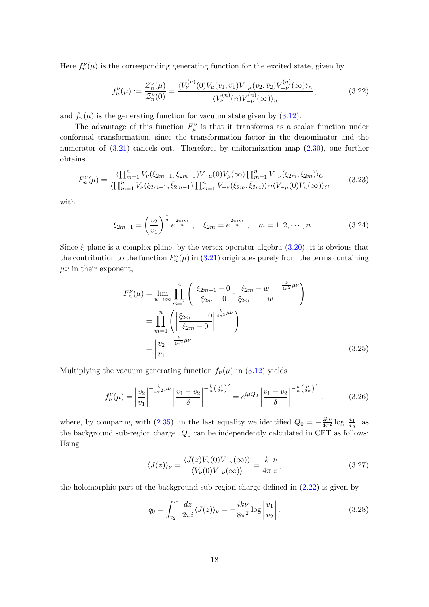Here  $f_n^{\nu}(\mu)$  is the corresponding generating function for the excited state, given by

$$
f_n^{\nu}(\mu) := \frac{\mathcal{Z}_n^{\nu}(\mu)}{\mathcal{Z}_n^{\nu}(0)} = \frac{\langle V_{\nu}^{(n)}(0) V_{\mu}(v_1, \bar{v_1}) V_{-\mu}(v_2, \bar{v_2}) V_{-\nu}^{(n)}(\infty) \rangle_n}{\langle V_{\nu}^{(n)}(n) V_{-\nu}^{(n)}(\infty) \rangle_n},
$$
(3.22)

and  $f_n(\mu)$  is the generating function for vacuum state given by [\(3.12\)](#page-14-3).

The advantage of this function  $F^{\nu}_{\mu}$  is that it transforms as a scalar function under conformal transformation, since the transformation factor in the denominator and the numerator of  $(3.21)$  cancels out. Therefore, by uniformization map  $(2.30)$ , one further obtains

$$
F_n^{\nu}(\mu) = \frac{\langle \prod_{m=1}^n V_{\nu}(\xi_{2m-1}, \bar{\xi}_{2m-1}) V_{-\mu}(0) V_{\mu}(\infty) \prod_{m=1}^n V_{-\nu}(\xi_{2m}, \bar{\xi}_{2m}) \rangle_C}{\langle \prod_{m=1}^n V_{\nu}(\xi_{2m-1}, \bar{\xi}_{2m-1}) \prod_{m=1}^n V_{-\nu}(\xi_{2m}, \bar{\xi}_{2m}) \rangle_C \langle V_{-\mu}(0) V_{\mu}(\infty) \rangle_C}
$$
(3.23)

with

$$
\xi_{2m-1} = \left(\frac{v_2}{v_1}\right)^{\frac{1}{n}} e^{\frac{2\pi im}{n}}, \quad \xi_{2m} = e^{\frac{2\pi im}{n}}, \quad m = 1, 2, \cdots, n. \tag{3.24}
$$

Since  $\xi$ -plane is a complex plane, by the vertex operator algebra  $(3.20)$ , it is obvious that the contribution to the function  $F_n^{\nu}(\mu)$  in [\(3.21\)](#page-17-3) originates purely from the terms containing  $\mu\nu$  in their exponent,

$$
F_n^{\nu}(\mu) = \lim_{w \to \infty} \prod_{m=1}^n \left( \left| \frac{\xi_{2m-1} - 0}{\xi_{2m} - 0} \cdot \frac{\xi_{2m} - w}{\xi_{2m-1} - w} \right|^{-\frac{k}{4\pi^2} \mu \nu} \right)
$$
  
= 
$$
\prod_{m=1}^n \left( \left| \frac{\xi_{2m-1} - 0}{\xi_{2m} - 0} \right|^{\frac{k}{4\pi^2} \mu \nu} \right)
$$
  
= 
$$
\left| \frac{v_2}{v_1} \right|^{-\frac{k}{4\pi^2} \mu \nu} (3.25)
$$

Multiplying the vacuum generating function  $f_n(\mu)$  in [\(3.12\)](#page-14-3) yields

$$
f_n^{\nu}(\mu) = \left| \frac{v_2}{v_1} \right|^{-\frac{k}{4\pi^2} \mu\nu} \left| \frac{v_1 - v_2}{\delta} \right|^{-\frac{k}{n} \left(\frac{\mu}{2\pi}\right)^2} = e^{i\mu Q_0} \left| \frac{v_1 - v_2}{\delta} \right|^{-\frac{k}{n} \left(\frac{\mu}{2\pi}\right)^2}, \tag{3.26}
$$

where, by comparing with [\(2.35\)](#page-9-1), in the last equality we identified  $Q_0 = -\frac{ik\nu}{4\pi^2} \log \left| \frac{1}{\sqrt{k}} \right|$  $\overline{v_1}$  $v_2$  $\overline{\phantom{a}}$ as the background sub-region charge.  $Q_0$  can be independently calculated in CFT as follows: Using

<span id="page-18-0"></span>
$$
\langle J(z) \rangle_{\nu} = \frac{\langle J(z) V_{\nu}(0) V_{-\nu}(\infty) \rangle}{\langle V_{\nu}(0) V_{-\nu}(\infty) \rangle} = \frac{k}{4\pi} \frac{\nu}{z},\tag{3.27}
$$

the holomorphic part of the background sub-region charge defined in [\(2.22\)](#page-6-1) is given by

$$
q_0 = \int_{v_2}^{v_1} \frac{dz}{2\pi i} \langle J(z) \rangle_{\nu} = -\frac{ik\nu}{8\pi^2} \log \left| \frac{v_1}{v_2} \right|.
$$
 (3.28)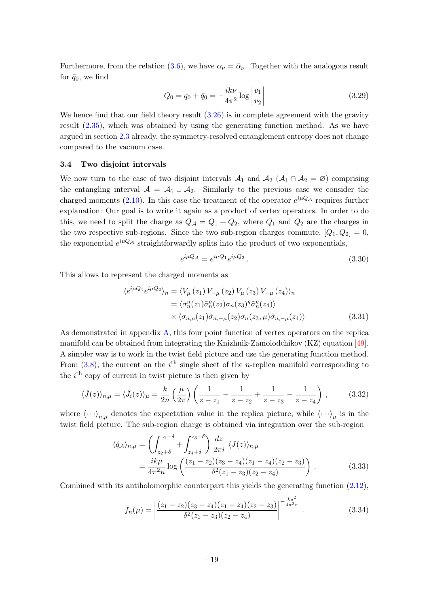Furthermore, from the relation [\(3.6\)](#page-14-0), we have  $\alpha_{\nu} = \bar{\alpha}_{\nu}$ . Together with the analogous result for  $\bar{q}_0$ , we find

$$
Q_0 = q_0 + \bar{q}_0 = -\frac{ik\nu}{4\pi^2} \log \left| \frac{v_1}{v_2} \right| \tag{3.29}
$$

We hence find that our field theory result  $(3.26)$  is in complete agreement with the gravity result [\(2.35\)](#page-9-1), which was obtained by using the generating function method. As we have argued in section [2.3](#page-7-0) already, the symmetry-resolved entanglement entropy does not change compared to the vacuum case.

#### <span id="page-19-0"></span>3.4 Two disjoint intervals

We now turn to the case of two disjoint intervals  $\mathcal{A}_1$  and  $\mathcal{A}_2$  ( $\mathcal{A}_1 \cap \mathcal{A}_2 = \emptyset$ ) comprising the entangling interval  $A = A_1 \cup A_2$ . Similarly to the previous case we consider the charged moments [\(2.10\)](#page-4-5). In this case the treatment of the operator  $e^{i\mu Q_{\mathcal{A}}}$  requires further explanation: Our goal is to write it again as a product of vertex operators. In order to do this, we need to split the charge as  $Q_{\mathcal{A}} = Q_1 + Q_2$ , where  $Q_1$  and  $Q_2$  are the charges in the two respective sub-regions. Since the two sub-region charges commute,  $[Q_1, Q_2] = 0$ , the exponential  $e^{i\mu Q_{\mathcal{A}}}$  straightforwardly splits into the product of two exponentials,

$$
e^{i\mu Q_{\mathcal{A}}} = e^{i\mu Q_1} e^{i\mu Q_2}.
$$
\n
$$
(3.30)
$$

This allows to represent the charged moments as

$$
\langle e^{i\mu Q_1} e^{i\mu Q_2} \rangle_n = \langle V_\mu (z_1) V_{-\mu} (z_2) V_\mu (z_3) V_{-\mu} (z_4) \rangle_n
$$
  
=  $\langle \sigma_n^g(z_1) \tilde{\sigma}_n^g(z_2) \sigma_n(z_3)^g \tilde{\sigma}_n^g(z_4) \rangle$   
×  $\langle \sigma_{n,\mu}(z_1) \tilde{\sigma}_{n,-\mu}(z_2) \sigma_n(z_3, \mu) \tilde{\sigma}_{n,-\mu}(z_4) \rangle$  (3.31)

As demonstrated in appendix [A,](#page-23-0) this four point function of vertex operators on the replica manifold can be obtained from integrating the Knizhnik-Zamolodchikov (KZ) equation [\[49\]](#page-30-7). A simpler way is to work in the twist field picture and use the generating function method. From  $(3.8)$ , the current on the i<sup>th</sup> single sheet of the *n*-replica manifold corresponding to the  $i<sup>th</sup>$  copy of current in twist picture is then given by

$$
\langle \hat{J}(z) \rangle_{n,\mu} = \langle \hat{J}_i(z) \rangle_{\mu} = \frac{k}{2n} \left( \frac{\mu}{2\pi} \right) \left( \frac{1}{z - z_1} - \frac{1}{z - z_2} + \frac{1}{z - z_3} - \frac{1}{z - z_4} \right), \quad (3.32)
$$

where  $\langle \cdot \cdot \cdot \rangle_{n,\mu}$  denotes the expectation value in the replica picture, while  $\langle \cdot \cdot \cdot \rangle_{\mu}$  is in the twist field picture. The sub-region charge is obtained via integration over the sub-region

$$
\langle \hat{q}_{\mathcal{A}} \rangle_{n,\mu} = \left( \int_{z_2 + \delta}^{z_1 - \delta} + \int_{z_4 + \delta}^{z_3 - \delta} \right) \frac{dz}{2\pi i} \langle J(z) \rangle_{n,\mu}
$$
  
=  $\frac{ik\mu}{4\pi^2 n} \log \left( \frac{(z_1 - z_2)(z_3 - z_4)(z_1 - z_4)(z_2 - z_3)}{\delta^2 (z_1 - z_3)(z_2 - z_4)} \right).$  (3.33)

Combined with its antiholomorphic counterpart this yields the generating function [\(2.12\)](#page-5-4),

<span id="page-19-1"></span>
$$
f_n(\mu) = \left| \frac{(z_1 - z_2)(z_3 - z_4)(z_1 - z_4)(z_2 - z_3)}{\delta^2 (z_1 - z_3)(z_2 - z_4)} \right|^{-\frac{k\mu^2}{4\pi^2 n}}.
$$
(3.34)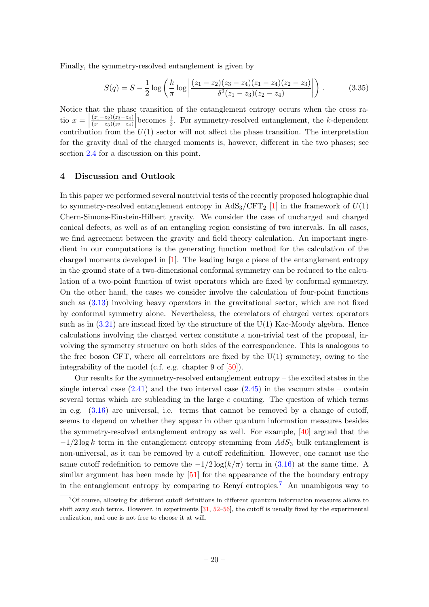Finally, the symmetry-resolved entanglement is given by

<span id="page-20-2"></span>
$$
S(q) = S - \frac{1}{2} \log \left( \frac{k}{\pi} \log \left| \frac{(z_1 - z_2)(z_3 - z_4)(z_1 - z_4)(z_2 - z_3)}{\delta^2 (z_1 - z_3)(z_2 - z_4)} \right| \right) \,. \tag{3.35}
$$

Notice that the phase transition of the entanglement entropy occurs when the cross ratio  $x = \begin{bmatrix} 1 & 1 \end{bmatrix}$  $(z_1-z_2)(z_3-z_4)$  $\overline{(z_1-z_3)(z_2-z_4)}$  $\begin{array}{c} \begin{array}{c} \begin{array}{c} \end{array} \\ \begin{array}{c} \end{array} \end{array} \end{array}$ becomes  $\frac{1}{2}$ . For symmetry-resolved entanglement, the k-dependent contribution from the  $U(1)$  sector will not affect the phase transition. The interpretation for the gravity dual of the charged moments is, however, different in the two phases; see section [2.4](#page-10-0) for a discussion on this point.

# <span id="page-20-0"></span>4 Discussion and Outlook

In this paper we performed several nontrivial tests of the recently proposed holographic dual to symmetry-resolved entanglement entropy in  $AdS_3/CFT_2$  [\[1\]](#page-27-0) in the framework of  $U(1)$ Chern-Simons-Einstein-Hilbert gravity. We consider the case of uncharged and charged conical defects, as well as of an entangling region consisting of two intervals. In all cases, we find agreement between the gravity and field theory calculation. An important ingredient in our computations is the generating function method for the calculation of the charged moments developed in  $[1]$ . The leading large c piece of the entanglement entropy in the ground state of a two-dimensional conformal symmetry can be reduced to the calculation of a two-point function of twist operators which are fixed by conformal symmetry. On the other hand, the cases we consider involve the calculation of four-point functions such as [\(3.13\)](#page-15-1) involving heavy operators in the gravitational sector, which are not fixed by conformal symmetry alone. Nevertheless, the correlators of charged vertex operators such as in  $(3.21)$  are instead fixed by the structure of the  $U(1)$  Kac-Moody algebra. Hence calculations involving the charged vertex constitute a non-trivial test of the proposal, involving the symmetry structure on both sides of the correspondence. This is analogous to the free boson CFT, where all correlators are fixed by the  $U(1)$  symmetry, owing to the integrability of the model (c.f. e.g. chapter 9 of [\[50\]](#page-30-8)).

Our results for the symmetry-resolved entanglement entropy – the excited states in the single interval case  $(2.41)$  and the two interval case  $(2.45)$  in the vacuum state – contain several terms which are subleading in the large  $c$  counting. The question of which terms in e.g.  $(3.16)$  are universal, i.e. terms that cannot be removed by a change of cutoff, seems to depend on whether they appear in other quantum information measures besides the symmetry-resolved entanglement entropy as well. For example, [\[40\]](#page-29-16) argued that the  $-1/2 \log k$  term in the entanglement entropy stemming from  $AdS_3$  bulk entanglement is non-universal, as it can be removed by a cutoff redefinition. However, one cannot use the same cutoff redefinition to remove the  $-1/2 \log(k/\pi)$  term in [\(3.16\)](#page-16-3) at the same time. A similar argument has been made by [\[51\]](#page-30-9) for the appearance of the the boundary entropy in the entanglement entropy by comparing to Renyí entropies.<sup>[7](#page-20-1)</sup> An unambigous way to

<span id="page-20-1"></span><sup>7</sup>Of course, allowing for different cutoff definitions in different quantum information measures allows to shift away such terms. However, in experiments [\[31,](#page-29-8) [52–](#page-30-10)[56\]](#page-30-11), the cutoff is usually fixed by the experimental realization, and one is not free to choose it at will.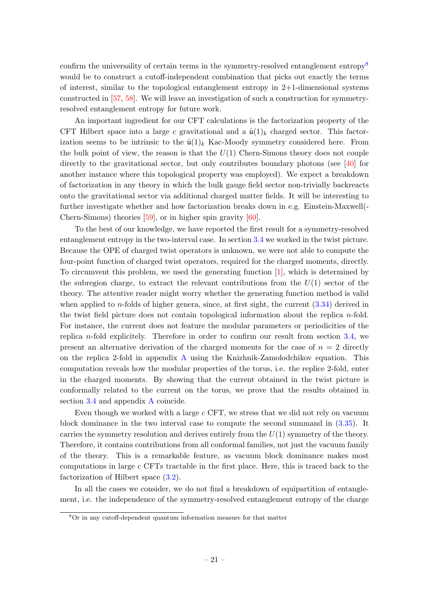confirm the universality of certain terms in the symmetry-resolved entanglement entropy<sup>[8](#page-21-0)</sup> would be to construct a cutoff-independent combination that picks out exactly the terms of interest, similar to the topological entanglement entropy in 2+1-dimensional systems constructed in [\[57,](#page-30-12) [58\]](#page-30-13). We will leave an investigation of such a construction for symmetryresolved entanglement entropy for future work.

An important ingredient for our CFT calculations is the factorization property of the CFT Hilbert space into a large c gravitational and a  $\hat{u}(1)_k$  charged sector. This factorization seems to be intrinsic to the  $\hat{u}(1)_k$  Kac-Moody symmetry considered here. From the bulk point of view, the reason is that the  $U(1)$  Chern-Simons theory does not couple directly to the gravitational sector, but only contributes boundary photons (see [\[40\]](#page-29-16) for another instance where this topological property was employed). We expect a breakdown of factorization in any theory in which the bulk gauge field sector non-trivially backreacts onto the gravitational sector via additional charged matter fields. It will be interesting to further investigate whether and how factorization breaks down in e.g. Einstein-Maxwell(- Chern-Simons) theories [\[59\]](#page-30-14), or in higher spin gravity [\[60\]](#page-30-15).

To the best of our knowledge, we have reported the first result for a symmetry-resolved entanglement entropy in the two-interval case. In section [3.4](#page-19-0) we worked in the twist picture. Because the OPE of charged twist operators is unknown, we were not able to compute the four-point function of charged twist operators, required for the charged moments, directly. To circumvent this problem, we used the generating function [\[1\]](#page-27-0), which is determined by the subregion charge, to extract the relevant contributions from the  $U(1)$  sector of the theory. The attentive reader might worry whether the generating function method is valid when applied to *n*-folds of higher genera, since, at first sight, the current  $(3.34)$  derived in the twist field picture does not contain topological information about the replica  $n$ -fold. For instance, the current does not feature the modular parameters or periodicities of the replica *n*-fold explicitely. Therefore in order to confirm our result from section  $3.4$ , we present an alternative derivation of the charged moments for the case of  $n = 2$  directly on the replica 2-fold in appendix [A](#page-23-0) using the Knizhnik-Zamolodchikov equation. This computation reveals how the modular properties of the torus, i.e. the replice 2-fold, enter in the charged moments. By showing that the current obtained in the twist picture is conformally related to the current on the torus, we prove that the results obtained in section [3.4](#page-19-0) and appendix [A](#page-23-0) coincide.

Even though we worked with a large c CFT, we stress that we did not rely on vacuum block dominance in the two interval case to compute the second summand in [\(3.35\)](#page-20-2). It carries the symmetry resolution and derives entirely from the  $U(1)$  symmetry of the theory. Therefore, it contains contributions from all conformal families, not just the vacuum family of the theory. This is a remarkable feature, as vacuum block dominance makes most computations in large c CFTs tractable in the first place. Here, this is traced back to the factorization of Hilbert space [\(3.2\)](#page-13-2).

In all the cases we consider, we do not find a breakdown of equipartition of entanglement, i.e. the independence of the symmetry-resolved entanglement entropy of the charge

<span id="page-21-0"></span><sup>8</sup>Or in any cutoff-dependent quantum information measure for that matter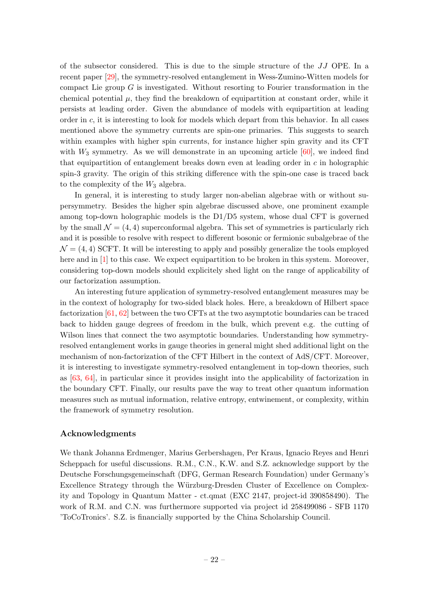of the subsector considered. This is due to the simple structure of the JJ OPE. In a recent paper [\[29\]](#page-29-6), the symmetry-resolved entanglement in Wess-Zumino-Witten models for compact Lie group  $G$  is investigated. Without resorting to Fourier transformation in the chemical potential  $\mu$ , they find the breakdown of equipartition at constant order, while it persists at leading order. Given the abundance of models with equipartition at leading order in  $c$ , it is interesting to look for models which depart from this behavior. In all cases mentioned above the symmetry currents are spin-one primaries. This suggests to search within examples with higher spin currents, for instance higher spin gravity and its CFT with  $W_3$  symmetry. As we will demonstrate in an upcoming article  $[60]$ , we indeed find that equipartition of entanglement breaks down even at leading order in c in holographic spin-3 gravity. The origin of this striking difference with the spin-one case is traced back to the complexity of the  $W_3$  algebra.

In general, it is interesting to study larger non-abelian algebrae with or without supersymmetry. Besides the higher spin algebrae discussed above, one prominent example among top-down holographic models is the D1/D5 system, whose dual CFT is governed by the small  $\mathcal{N} = (4, 4)$  superconformal algebra. This set of symmetries is particularly rich and it is possible to resolve with respect to different bosonic or fermionic subalgebrae of the  $\mathcal{N} = (4, 4)$  SCFT. It will be interesting to apply and possibly generalize the tools employed here and in [\[1\]](#page-27-0) to this case. We expect equipartition to be broken in this system. Moreover, considering top-down models should explicitely shed light on the range of applicability of our factorization assumption.

An interesting future application of symmetry-resolved entanglement measures may be in the context of holography for two-sided black holes. Here, a breakdown of Hilbert space factorization [\[61,](#page-30-16) [62\]](#page-31-0) between the two CFTs at the two asymptotic boundaries can be traced back to hidden gauge degrees of freedom in the bulk, which prevent e.g. the cutting of Wilson lines that connect the two asymptotic boundaries. Understanding how symmetryresolved entanglement works in gauge theories in general might shed additional light on the mechanism of non-factorization of the CFT Hilbert in the context of AdS/CFT. Moreover, it is interesting to investigate symmetry-resolved entanglement in top-down theories, such as  $[63, 64]$  $[63, 64]$  $[63, 64]$ , in particular since it provides insight into the applicability of factorization in the boundary CFT. Finally, our results pave the way to treat other quantum information measures such as mutual information, relative entropy, entwinement, or complexity, within the framework of symmetry resolution.

# Acknowledgments

We thank Johanna Erdmenger, Marius Gerbershagen, Per Kraus, Ignacio Reyes and Henri Scheppach for useful discussions. R.M., C.N., K.W. and S.Z. acknowledge support by the Deutsche Forschungsgemeinschaft (DFG, German Research Foundation) under Germany's Excellence Strategy through the Würzburg-Dresden Cluster of Excellence on Complexity and Topology in Quantum Matter - ct.qmat (EXC 2147, project-id 390858490). The work of R.M. and C.N. was furthermore supported via project id  $258499086$  - SFB 1170 'ToCoTronics'. S.Z. is financially supported by the China Scholarship Council.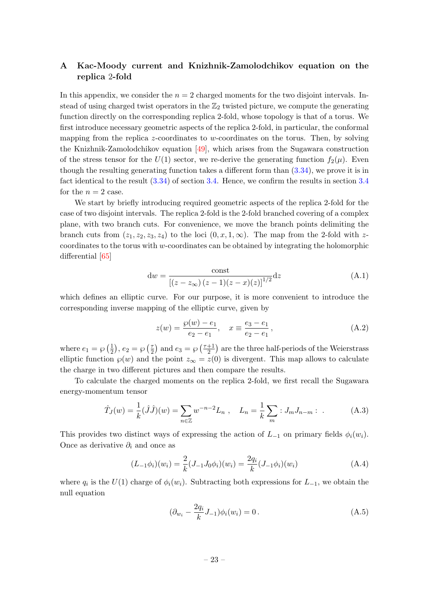# <span id="page-23-0"></span>A Kac-Moody current and Knizhnik-Zamolodchikov equation on the replica 2-fold

In this appendix, we consider the  $n = 2$  charged moments for the two disjoint intervals. Instead of using charged twist operators in the  $\mathbb{Z}_2$  twisted picture, we compute the generating function directly on the corresponding replica 2-fold, whose topology is that of a torus. We first introduce necessary geometric aspects of the replica 2-fold, in particular, the conformal mapping from the replica z-coordinates to w-coordinates on the torus. Then, by solving the Knizhnik-Zamolodchikov equation [\[49\]](#page-30-7), which arises from the Sugawara construction of the stress tensor for the  $U(1)$  sector, we re-derive the generating function  $f_2(\mu)$ . Even though the resulting generating function takes a different form than  $(3.34)$ , we prove it is in fact identical to the result  $(3.34)$  of section [3.4.](#page-19-0) Hence, we confirm the results in section [3.4](#page-19-0) for the  $n = 2$  case.

We start by briefly introducing required geometric aspects of the replica 2-fold for the case of two disjoint intervals. The replica 2-fold is the 2-fold branched covering of a complex plane, with two branch cuts. For convenience, we move the branch points delimiting the branch cuts from  $(z_1, z_2, z_3, z_4)$  to the loci  $(0, x, 1, \infty)$ . The map from the 2-fold with zcoordinates to the torus with  $w$ -coordinates can be obtained by integrating the holomorphic differential [\[65\]](#page-31-3)

$$
dw = \frac{\text{const}}{[(z - z_{\infty}) (z - 1)(z - x)(z)]^{1/2}} dz
$$
 (A.1)

which defines an elliptic curve. For our purpose, it is more convenient to introduce the corresponding inverse mapping of the elliptic curve, given by

<span id="page-23-2"></span>
$$
z(w) = \frac{\wp(w) - e_1}{e_2 - e_1}, \quad x \equiv \frac{e_3 - e_1}{e_2 - e_1}, \tag{A.2}
$$

where  $e_1 = \wp \left( \frac{1}{2} \right)$  $(\frac{1}{2}), e_2 = \wp(\frac{\tau}{2})$  $\frac{\tau}{2}$  and  $e_3 = \wp \left( \frac{\tau + 1}{2} \right)$  $\frac{+1}{2}$  are the three half-periods of the Weierstrass elliptic function  $\varphi(w)$  and the point  $z_{\infty} = z(0)$  is divergent. This map allows to calculate the charge in two different pictures and then compare the results.

To calculate the charged moments on the replica 2-fold, we first recall the Sugawara energy-momentum tensor

$$
\hat{T}_J(w) = \frac{1}{k} (\hat{J}\hat{J})(w) = \sum_{n \in \mathbb{Z}} w^{-n-2} L_n , \quad L_n = \frac{1}{k} \sum_m : J_m J_{n-m} : .
$$
 (A.3)

This provides two distinct ways of expressing the action of  $L_{-1}$  on primary fields  $\phi_i(w_i)$ . Once as derivative  $\partial_i$  and once as

$$
(L_{-1}\phi_i)(w_i) = \frac{2}{k}(J_{-1}J_0\phi_i)(w_i) = \frac{2q_i}{k}(J_{-1}\phi_i)(w_i)
$$
 (A.4)

where  $q_i$  is the  $U(1)$  charge of  $\phi_i(w_i)$ . Subtracting both expressions for  $L_{-1}$ , we obtain the null equation

<span id="page-23-1"></span>
$$
(\partial_{w_i} - \frac{2q_i}{k}J_{-1})\phi_i(w_i) = 0.
$$
 (A.5)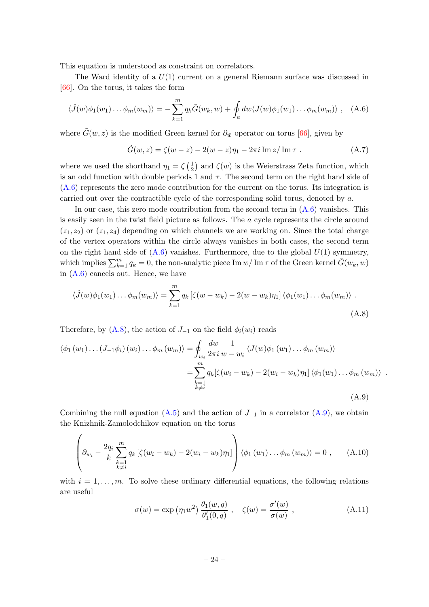This equation is understood as constraint on correlators.

The Ward identity of a  $U(1)$  current on a general Riemann surface was discussed in [\[66\]](#page-31-4). On the torus, it takes the form

$$
\langle \hat{J}(w)\phi_1(w_1)\dots\phi_m(w_m)\rangle = -\sum_{k=1}^m q_k \tilde{G}(w_k, w) + \oint_a dw \langle J(w)\phi_1(w_1)\dots\phi_m(w_m)\rangle , \quad (A.6)
$$

where  $\tilde{G}(w, z)$  is the modified Green kernel for  $\partial_{\bar{w}}$  operator on torus [\[66\]](#page-31-4), given by

<span id="page-24-1"></span><span id="page-24-0"></span>
$$
\tilde{G}(w,z) = \zeta(w-z) - 2(w-z)\eta_1 - 2\pi i \operatorname{Im} z/\operatorname{Im} \tau . \tag{A.7}
$$

where we used the shorthand  $\eta_1 = \zeta \left( \frac{1}{2} \right)$  $\frac{1}{2}$  and  $\zeta(w)$  is the Weierstrass Zeta function, which is an odd function with double periods 1 and  $\tau$ . The second term on the right hand side of [\(A.6\)](#page-24-0) represents the zero mode contribution for the current on the torus. Its integration is carried out over the contractible cycle of the corresponding solid torus, denoted by a.

In our case, this zero mode contribution from the second term in  $(A.6)$  vanishes. This is easily seen in the twist field picture as follows. The a cycle represents the circle around  $(z_1, z_2)$  or  $(z_1, z_4)$  depending on which channels we are working on. Since the total charge of the vertex operators within the circle always vanishes in both cases, the second term on the right hand side of  $(A.6)$  vanishes. Furthermore, due to the global  $U(1)$  symmetry, which implies  $\sum_{k=1}^{m} q_k = 0$ , the non-analytic piece Im  $w/\operatorname{Im} \tau$  of the Green kernel  $\tilde{G}(w_k, w)$ in  $(A.6)$  cancels out. Hence, we have

$$
\langle \hat{J}(w)\phi_1(w_1)\dots\phi_m(w_m)\rangle = \sum_{k=1}^m q_k \left[\zeta(w-w_k) - 2(w-w_k)\eta_1\right] \langle \phi_1(w_1)\dots\phi_m(w_m)\rangle.
$$
\n(A.8)

Therefore, by  $(A.8)$ , the action of  $J_{-1}$  on the field  $\phi_i(w_i)$  reads

$$
\langle \phi_1 (w_1) \dots (J_{-1} \phi_i) (w_i) \dots \phi_m (w_m) \rangle = \oint_{w_i} \frac{dw}{2\pi i} \frac{1}{w - w_i} \langle J(w) \phi_1 (w_1) \dots \phi_m (w_m) \rangle
$$
  

$$
= \sum_{\substack{k=1 \ k \neq i}}^m q_k [\zeta(w_i - w_k) - 2(w_i - w_k) \eta_1] \langle \phi_1 (w_1) \dots \phi_m (w_m) \rangle .
$$
  
(A.9)

Combining the null equation  $(A.5)$  and the action of  $J_{-1}$  in a correlator  $(A.9)$ , we obtain the Knizhnik-Zamolodchikov equation on the torus

$$
\left(\partial_{w_i} - \frac{2q_i}{k} \sum_{\substack{k=1\\k\neq i}}^m q_k \left[ \zeta(w_i - w_k) - 2(w_i - w_k) \eta_1 \right] \right) \langle \phi_1(w_1) \dots \phi_m(w_m) \rangle = 0 , \quad (A.10)
$$

with  $i = 1, \ldots, m$ . To solve these ordinary differential equations, the following relations are useful

<span id="page-24-3"></span><span id="page-24-2"></span>
$$
\sigma(w) = \exp(\eta_1 w^2) \frac{\theta_1(w, q)}{\theta'_1(0, q)}, \quad \zeta(w) = \frac{\sigma'(w)}{\sigma(w)}, \tag{A.11}
$$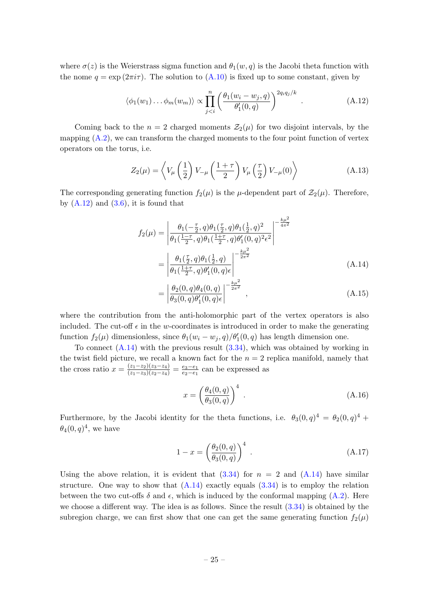where  $\sigma(z)$  is the Weierstrass sigma function and  $\theta_1(w, q)$  is the Jacobi theta function with the nome  $q = \exp(2\pi i \tau)$ . The solution to  $(A.10)$  is fixed up to some constant, given by

<span id="page-25-0"></span>
$$
\langle \phi_1(w_1) \dots \phi_m(w_m) \rangle \propto \prod_{j < i}^n \left( \frac{\theta_1(w_i - w_j, q)}{\theta'_1(0, q)} \right)^{2q_i q_j / k} . \tag{A.12}
$$

Coming back to the  $n = 2$  charged moments  $\mathcal{Z}_2(\mu)$  for two disjoint intervals, by the mapping  $(A.2)$ , we can transform the charged moments to the four point function of vertex operators on the torus, i.e.

$$
Z_2(\mu) = \left\langle V_\mu \left(\frac{1}{2}\right) V_{-\mu} \left(\frac{1+\tau}{2}\right) V_\mu \left(\frac{\tau}{2}\right) V_{-\mu}(0) \right\rangle \tag{A.13}
$$

The corresponding generating function  $f_2(\mu)$  is the  $\mu$ -dependent part of  $\mathcal{Z}_2(\mu)$ . Therefore, by  $(A.12)$  and  $(3.6)$ , it is found that

$$
f_2(\mu) = \left| \frac{\theta_1(-\frac{\tau}{2}, q)\theta_1(\frac{\tau}{2}, q)\theta_1(\frac{1}{2}, q)^2}{\theta_1(\frac{1-\tau}{2}, q)\theta_1(\frac{1+\tau}{2}, q)\theta'_1(0, q)^2 \epsilon^2} \right|^{-\frac{k\mu^2}{4\pi^2}}
$$
  
= 
$$
\left| \frac{\theta_1(\frac{\tau}{2}, q)\theta_1(\frac{1}{2}, q)}{\theta_1(\frac{1+\tau}{2}, q)\theta'_1(0, q)\epsilon} \right|^{-\frac{k\mu^2}{2\pi^2}}
$$
(A.14)

<span id="page-25-1"></span>
$$
= \left| \frac{\theta_2(0, q)\theta_4(0, q)}{\theta_3(0, q)\theta'_1(0, q)\epsilon} \right|^{-\frac{k\mu^2}{2\pi^2}}, \qquad (A.15)
$$

where the contribution from the anti-holomorphic part of the vertex operators is also included. The cut-off  $\epsilon$  in the w-coordinates is introduced in order to make the generating function  $f_2(\mu)$  dimensionless, since  $\theta_1(w_i - w_j, q)/\theta'_1(0, q)$  has length dimension one.

To connect  $(A.14)$  with the previous result  $(3.34)$ , which was obtained by working in the twist field picture, we recall a known fact for the  $n = 2$  replica manifold, namely that the cross ratio  $x = \frac{(z_1 - z_2)(z_3 - z_4)}{(z_1 - z_3)(z_2 - z_4)} = \frac{e_3 - e_1}{e_2 - e_1}$  $\frac{e_3-e_1}{e_2-e_1}$  can be expressed as

$$
x = \left(\frac{\theta_4(0, q)}{\theta_3(0, q)}\right)^4.
$$
\n(A.16)

Furthermore, by the Jacobi identity for the theta functions, i.e.  $\theta_3(0,q)^4 = \theta_2(0,q)^4 +$  $\theta_4(0,q)^4$ , we have

$$
1 - x = \left(\frac{\theta_2(0, q)}{\theta_3(0, q)}\right)^4.
$$
 (A.17)

Using the above relation, it is evident that  $(3.34)$  for  $n = 2$  and  $(A.14)$  have similar structure. One way to show that  $(A.14)$  exactly equals  $(3.34)$  is to employ the relation between the two cut-offs  $\delta$  and  $\epsilon$ , which is induced by the conformal mapping [\(A.2\)](#page-23-2). Here we choose a different way. The idea is as follows. Since the result [\(3.34\)](#page-19-1) is obtained by the subregion charge, we can first show that one can get the same generating function  $f_2(\mu)$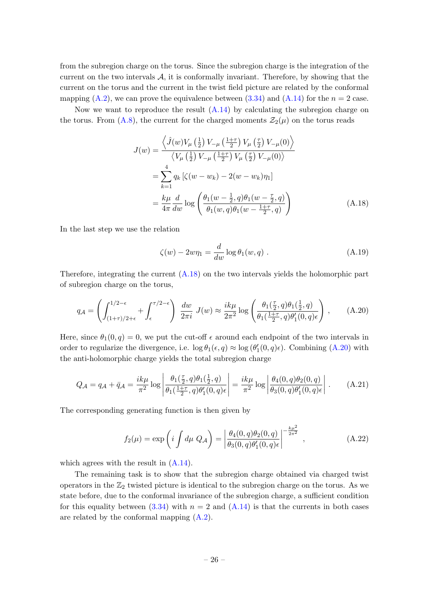from the subregion charge on the torus. Since the subregion charge is the integration of the current on the two intervals  $A$ , it is conformally invariant. Therefore, by showing that the current on the torus and the current in the twist field picture are related by the conformal mapping  $(A.2)$ , we can prove the equivalence between  $(3.34)$  and  $(A.14)$  for the  $n = 2$  case.

Now we want to reproduce the result  $(A.14)$  by calculating the subregion charge on the torus. From [\(A.8\)](#page-24-1), the current for the charged moments  $\mathcal{Z}_2(\mu)$  on the torus reads

$$
J(w) = \frac{\left\langle \hat{J}(w)V_{\mu}\left(\frac{1}{2}\right)V_{-\mu}\left(\frac{1+\tau}{2}\right)V_{\mu}\left(\frac{\tau}{2}\right)V_{-\mu}(0)\right\rangle}{\left\langle V_{\mu}\left(\frac{1}{2}\right)V_{-\mu}\left(\frac{1+\tau}{2}\right)V_{\mu}\left(\frac{\tau}{2}\right)V_{-\mu}(0)\right\rangle}
$$
  

$$
= \sum_{k=1}^{4} q_k \left[ \zeta(w - w_k) - 2(w - w_k)\eta_1 \right]
$$
  

$$
= \frac{k\mu}{4\pi} \frac{d}{dw} \log \left( \frac{\theta_1(w - \frac{1}{2}, q)\theta_1(w - \frac{\tau}{2}, q)}{\theta_1(w, q)\theta_1(w - \frac{1+\tau}{2}, q)} \right)
$$
(A.18)

In the last step we use the relation

<span id="page-26-1"></span><span id="page-26-0"></span>
$$
\zeta(w) - 2w\eta_1 = \frac{d}{dw}\log\theta_1(w, q) . \tag{A.19}
$$

Therefore, integrating the current [\(A.18\)](#page-26-0) on the two intervals yields the holomorphic part of subregion charge on the torus,

$$
q_{\mathcal{A}} = \left( \int_{(1+\tau)/2+\epsilon}^{1/2-\epsilon} + \int_{\epsilon}^{\tau/2-\epsilon} \right) \frac{dw}{2\pi i} J(w) \approx \frac{ik\mu}{2\pi^2} \log \left( \frac{\theta_1(\frac{\tau}{2}, q)\theta_1(\frac{1}{2}, q)}{\theta_1(\frac{1+\tau}{2}, q)\theta_1'(0, q)\epsilon} \right), \quad (A.20)
$$

Here, since  $\theta_1(0, q) = 0$ , we put the cut-off  $\epsilon$  around each endpoint of the two intervals in order to regularize the divergence, i.e.  $\log \theta_1(\epsilon, q) \approx \log (\theta'_1(0, q)\epsilon)$ . Combining [\(A.20\)](#page-26-1) with the anti-holomorphic charge yields the total subregion charge

$$
Q_{\mathcal{A}} = q_{\mathcal{A}} + \bar{q}_{\mathcal{A}} = \frac{i k \mu}{\pi^2} \log \left| \frac{\theta_1(\frac{\tau}{2}, q) \theta_1(\frac{1}{2}, q)}{\theta_1(\frac{1+\tau}{2}, q) \theta'_1(0, q) \epsilon} \right| = \frac{i k \mu}{\pi^2} \log \left| \frac{\theta_4(0, q) \theta_2(0, q)}{\theta_3(0, q) \theta'_1(0, q) \epsilon} \right|.
$$
 (A.21)

The corresponding generating function is then given by

$$
f_2(\mu) = \exp\left(i \int d\mu \ Q_A\right) = \left| \frac{\theta_4(0, q)\theta_2(0, q)}{\theta_3(0, q)\theta'_1(0, q)\epsilon} \right|^{-\frac{k\mu^2}{2\pi^2}}, \tag{A.22}
$$

which agrees with the result in  $(A.14)$ .

The remaining task is to show that the subregion charge obtained via charged twist operators in the  $\mathbb{Z}_2$  twisted picture is identical to the subregion charge on the torus. As we state before, due to the conformal invariance of the subregion charge, a sufficient condition for this equality between [\(3.34\)](#page-19-1) with  $n = 2$  and [\(A.14\)](#page-25-1) is that the currents in both cases are related by the conformal mapping [\(A.2\)](#page-23-2).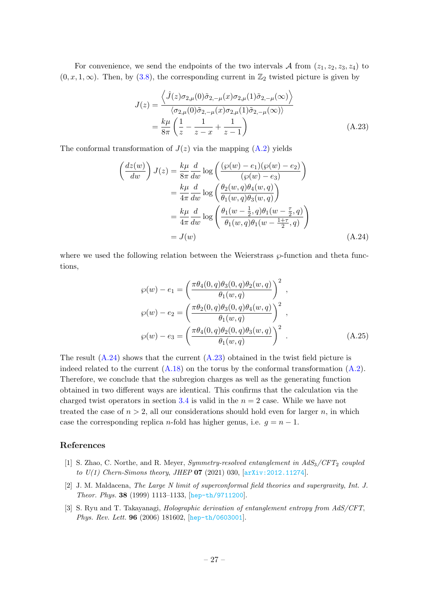For convenience, we send the endpoints of the two intervals A from  $(z_1, z_2, z_3, z_4)$  to  $(0, x, 1, \infty)$ . Then, by  $(3.8)$ , the corresponding current in  $\mathbb{Z}_2$  twisted picture is given by

<span id="page-27-4"></span>
$$
J(z) = \frac{\langle \hat{J}(z)\sigma_{2,\mu}(0)\tilde{\sigma}_{2,-\mu}(x)\sigma_{2,\mu}(1)\tilde{\sigma}_{2,-\mu}(\infty) \rangle}{\langle \sigma_{2,\mu}(0)\tilde{\sigma}_{2,-\mu}(x)\sigma_{2,\mu}(1)\tilde{\sigma}_{2,-\mu}(\infty) \rangle}
$$
  
=  $\frac{k\mu}{8\pi} \left(\frac{1}{z} - \frac{1}{z-x} + \frac{1}{z-1}\right)$  (A.23)

The conformal transformation of  $J(z)$  via the mapping  $(A.2)$  yields

$$
\begin{aligned}\n\left(\frac{dz(w)}{dw}\right)J(z) &= \frac{k\mu}{8\pi} \frac{d}{dw} \log \left(\frac{(\wp(w) - e_1)(\wp(w) - e_2)}{(\wp(w) - e_3)}\right) \\
&= \frac{k\mu}{4\pi} \frac{d}{dw} \log \left(\frac{\theta_2(w, q)\theta_4(w, q)}{\theta_1(w, q)\theta_3(w, q)}\right) \\
&= \frac{k\mu}{4\pi} \frac{d}{dw} \log \left(\frac{\theta_1(w - \frac{1}{2}, q)\theta_1(w - \frac{\tau}{2}, q)}{\theta_1(w, q)\theta_1(w - \frac{1+\tau}{2}, q)}\right) \\
&= J(w)\n\end{aligned}
$$
\n(A.24)

where we used the following relation between the Weierstrass  $\wp$ -function and theta functions,

<span id="page-27-3"></span>
$$
\wp(w) - e_1 = \left(\frac{\pi \theta_4(0, q)\theta_3(0, q)\theta_2(w, q)}{\theta_1(w, q)}\right)^2 ,
$$
  
\n
$$
\wp(w) - e_2 = \left(\frac{\pi \theta_2(0, q)\theta_3(0, q)\theta_4(w, q)}{\theta_1(w, q)}\right)^2 ,
$$
  
\n
$$
\wp(w) - e_3 = \left(\frac{\pi \theta_4(0, q)\theta_2(0, q)\theta_3(w, q)}{\theta_1(w, q)}\right)^2 .
$$
\n(A.25)

The result  $(A.24)$  shows that the current  $(A.23)$  obtained in the twist field picture is indeed related to the current  $(A.18)$  on the torus by the conformal transformation  $(A.2)$ . Therefore, we conclude that the subregion charges as well as the generating function obtained in two different ways are identical. This confirms that the calculation via the charged twist operators in section [3.4](#page-19-0) is valid in the  $n = 2$  case. While we have not treated the case of  $n > 2$ , all our considerations should hold even for larger n, in which case the corresponding replica n-fold has higher genus, i.e.  $q = n - 1$ .

## References

- <span id="page-27-0"></span>[1] S. Zhao, C. Northe, and R. Meyer, *Symmetry-resolved entanglement in*  $AdS_3/CFT_2$  *coupled* to  $U(1)$  Chern-Simons theory, JHEP 07 (2021) 030,  $[\text{arXiv}:2012.11274]$ .
- <span id="page-27-1"></span>[2] J. M. Maldacena, The Large N limit of superconformal field theories and supergravity, Int. J. Theor. Phys. 38 (1999) 1113–1133, [[hep-th/9711200](http://arxiv.org/abs/hep-th/9711200)].
- <span id="page-27-2"></span>[3] S. Ryu and T. Takayanagi, Holographic derivation of entanglement entropy from AdS/CFT, Phys. Rev. Lett. 96 (2006) 181602, [[hep-th/0603001](http://arxiv.org/abs/hep-th/0603001)].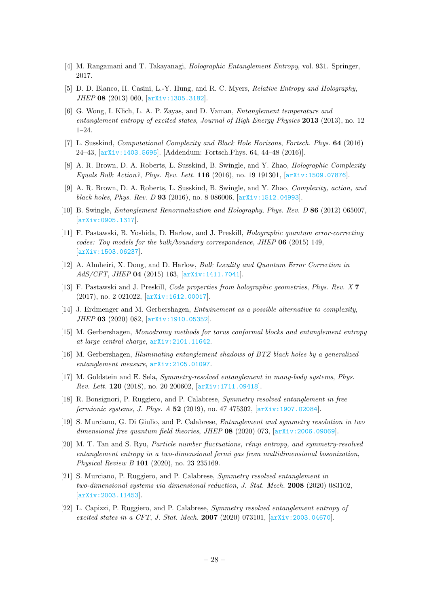- <span id="page-28-0"></span>[4] M. Rangamani and T. Takayanagi, Holographic Entanglement Entropy, vol. 931. Springer, 2017.
- <span id="page-28-1"></span>[5] D. D. Blanco, H. Casini, L.-Y. Hung, and R. C. Myers, Relative Entropy and Holography, JHEP 08 (2013) 060, [[arXiv:1305.3182](http://arxiv.org/abs/1305.3182)].
- <span id="page-28-2"></span>[6] G. Wong, I. Klich, L. A. P. Zayas, and D. Vaman, Entanglement temperature and entanglement entropy of excited states, Journal of High Energy Physics 2013 (2013), no. 12 1–24.
- <span id="page-28-3"></span>[7] L. Susskind, Computational Complexity and Black Hole Horizons, Fortsch. Phys. 64 (2016) 24–43, [[arXiv:1403.5695](http://arxiv.org/abs/1403.5695)]. [Addendum: Fortsch.Phys. 64, 44–48 (2016)].
- [8] A. R. Brown, D. A. Roberts, L. Susskind, B. Swingle, and Y. Zhao, *Holographic Complexity* Equals Bulk Action?, Phys. Rev. Lett. 116 (2016), no. 19 191301, [[arXiv:1509.07876](http://arxiv.org/abs/1509.07876)].
- <span id="page-28-4"></span>[9] A. R. Brown, D. A. Roberts, L. Susskind, B. Swingle, and Y. Zhao, Complexity, action, and black holes, Phys. Rev. D  $93$  (2016), no. 8 086006,  $\boxed{arXiv:1512.04993}$  $\boxed{arXiv:1512.04993}$  $\boxed{arXiv:1512.04993}$ .
- <span id="page-28-5"></span>[10] B. Swingle, Entanglement Renormalization and Holography, Phys. Rev. D 86 (2012) 065007, [[arXiv:0905.1317](http://arxiv.org/abs/0905.1317)].
- <span id="page-28-6"></span>[11] F. Pastawski, B. Yoshida, D. Harlow, and J. Preskill, Holographic quantum error-correcting codes: Toy models for the bulk/boundary correspondence, JHEP  $06$  (2015) 149, [[arXiv:1503.06237](http://arxiv.org/abs/1503.06237)].
- <span id="page-28-7"></span>[12] A. Almheiri, X. Dong, and D. Harlow, Bulk Locality and Quantum Error Correction in AdS/CFT, JHEP 04 (2015) 163, [[arXiv:1411.7041](http://arxiv.org/abs/1411.7041)].
- <span id="page-28-8"></span>[13] F. Pastawski and J. Preskill, *Code properties from holographic geometries, Phys. Rev. X* 7 (2017), no. 2 021022, [[arXiv:1612.00017](http://arxiv.org/abs/1612.00017)].
- <span id="page-28-9"></span>[14] J. Erdmenger and M. Gerbershagen, Entwinement as a possible alternative to complexity, JHEP 03 (2020) 082, [[arXiv:1910.05352](http://arxiv.org/abs/1910.05352)].
- <span id="page-28-10"></span>[15] M. Gerbershagen, Monodromy methods for torus conformal blocks and entanglement entropy at large central charge, [arXiv:2101.11642](http://arxiv.org/abs/2101.11642).
- <span id="page-28-11"></span>[16] M. Gerbershagen, Illuminating entanglement shadows of BTZ black holes by a generalized entanglement measure, [arXiv:2105.01097](http://arxiv.org/abs/2105.01097).
- <span id="page-28-12"></span>[17] M. Goldstein and E. Sela, Symmetry-resolved entanglement in many-body systems, Phys. Rev. Lett. 120 (2018), no. 20 200602, [[arXiv:1711.09418](http://arxiv.org/abs/1711.09418)].
- <span id="page-28-13"></span>[18] R. Bonsignori, P. Ruggiero, and P. Calabrese, Symmetry resolved entanglement in free fermionic systems, J. Phys. A 52 (2019), no. 47 475302,  $\ar{xiv:1907.02084}$ .
- [19] S. Murciano, G. Di Giulio, and P. Calabrese, Entanglement and symmetry resolution in two dimensional free quantum field theories, JHEP  $08$  (2020) 073, [[arXiv:2006.09069](http://arxiv.org/abs/2006.09069)].
- <span id="page-28-14"></span>[20] M. T. Tan and S. Ryu, *Particle number fluctuations, rényi entropy, and symmetry-resolved* entanglement entropy in a two-dimensional fermi gas from multidimensional bosonization, Physical Review B 101 (2020), no. 23 235169.
- <span id="page-28-15"></span>[21] S. Murciano, P. Ruggiero, and P. Calabrese, Symmetry resolved entanglement in two-dimensional systems via dimensional reduction, J. Stat. Mech. 2008 (2020) 083102, [[arXiv:2003.11453](http://arxiv.org/abs/2003.11453)].
- <span id="page-28-16"></span>[22] L. Capizzi, P. Ruggiero, and P. Calabrese, Symmetry resolved entanglement entropy of excited states in a CFT, J. Stat. Mech. 2007 (2020) 073101,  $[\text{arXiv:} 2003.04670]$ .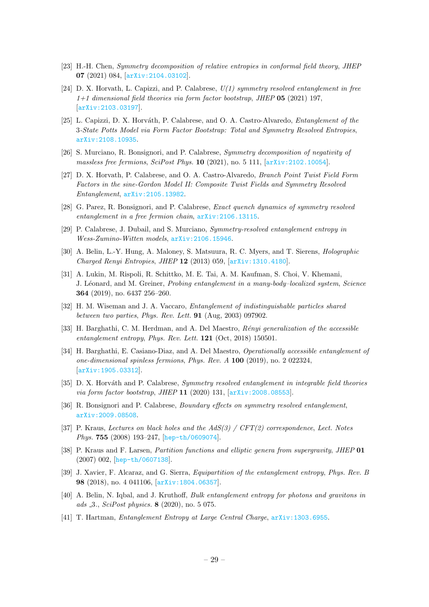- <span id="page-29-0"></span>[23] H.-H. Chen, Symmetry decomposition of relative entropies in conformal field theory, JHEP 07 (2021) 084, [[arXiv:2104.03102](http://arxiv.org/abs/2104.03102)].
- <span id="page-29-1"></span>[24] D. X. Horvath, L. Capizzi, and P. Calabrese,  $U(1)$  symmetry resolved entanglement in free  $1+1$  dimensional field theories via form factor bootstrap, JHEP 05 (2021) 197, [[arXiv:2103.03197](http://arxiv.org/abs/2103.03197)].
- <span id="page-29-2"></span>[25] L. Capizzi, D. X. Horváth, P. Calabrese, and O. A. Castro-Alvaredo, *Entanglement of the* 3-State Potts Model via Form Factor Bootstrap: Total and Symmetry Resolved Entropies, [arXiv:2108.10935](http://arxiv.org/abs/2108.10935).
- <span id="page-29-3"></span>[26] S. Murciano, R. Bonsignori, and P. Calabrese, Symmetry decomposition of negativity of massless free fermions, SciPost Phys.  $10$  (2021), no. 5 111, [[arXiv:2102.10054](http://arxiv.org/abs/2102.10054)].
- <span id="page-29-4"></span>[27] D. X. Horvath, P. Calabrese, and O. A. Castro-Alvaredo, Branch Point Twist Field Form Factors in the sine-Gordon Model II: Composite Twist Fields and Symmetry Resolved Entanglement, [arXiv:2105.13982](http://arxiv.org/abs/2105.13982).
- <span id="page-29-5"></span>[28] G. Parez, R. Bonsignori, and P. Calabrese, Exact quench dynamics of symmetry resolved entanglement in a free fermion chain, [arXiv:2106.13115](http://arxiv.org/abs/2106.13115).
- <span id="page-29-6"></span>[29] P. Calabrese, J. Dubail, and S. Murciano, Symmetry-resolved entanglement entropy in Wess-Zumino-Witten models, [arXiv:2106.15946](http://arxiv.org/abs/2106.15946).
- <span id="page-29-7"></span>[30] A. Belin, L.-Y. Hung, A. Maloney, S. Matsuura, R. C. Myers, and T. Sierens, Holographic Charged Renyi Entropies, JHEP 12 (2013) 059, [[arXiv:1310.4180](http://arxiv.org/abs/1310.4180)].
- <span id="page-29-8"></span>[31] A. Lukin, M. Rispoli, R. Schittko, M. E. Tai, A. M. Kaufman, S. Choi, V. Khemani, J. Léonard, and M. Greiner, Probing entanglement in a many-body–localized system, Science 364 (2019), no. 6437 256–260.
- <span id="page-29-9"></span>[32] H. M. Wiseman and J. A. Vaccaro, Entanglement of indistinguishable particles shared between two parties, Phys. Rev. Lett. 91 (Aug, 2003) 097902.
- [33] H. Barghathi, C. M. Herdman, and A. Del Maestro, Rényi generalization of the accessible entanglement entropy, Phys. Rev. Lett. **121** (Oct, 2018) 150501.
- <span id="page-29-10"></span>[34] H. Barghathi, E. Casiano-Diaz, and A. Del Maestro, Operationally accessible entanglement of one-dimensional spinless fermions, Phys. Rev. A 100 (2019), no. 2 022324, [[arXiv:1905.03312](http://arxiv.org/abs/1905.03312)].
- <span id="page-29-11"></span>[35] D. X. Horváth and P. Calabrese, Symmetry resolved entanglement in integrable field theories via form factor bootstrap, JHEP 11 (2020) 131, [[arXiv:2008.08553](http://arxiv.org/abs/2008.08553)].
- <span id="page-29-12"></span>[36] R. Bonsignori and P. Calabrese, Boundary effects on symmetry resolved entanglement, [arXiv:2009.08508](http://arxiv.org/abs/2009.08508).
- <span id="page-29-13"></span>[37] P. Kraus, Lectures on black holes and the  $AdS(3) / CFT(2)$  correspondence, Lect. Notes Phys. 755 (2008) 193–247, [[hep-th/0609074](http://arxiv.org/abs/hep-th/0609074)].
- <span id="page-29-14"></span>[38] P. Kraus and F. Larsen, Partition functions and elliptic genera from supergravity, JHEP 01 (2007) 002, [[hep-th/0607138](http://arxiv.org/abs/hep-th/0607138)].
- <span id="page-29-15"></span>[39] J. Xavier, F. Alcaraz, and G. Sierra, Equipartition of the entanglement entropy, Phys. Rev. B 98 (2018), no. 4 041106, [[arXiv:1804.06357](http://arxiv.org/abs/1804.06357)].
- <span id="page-29-16"></span>[40] A. Belin, N. Iqbal, and J. Kruthoff, Bulk entanglement entropy for photons and gravitons in ads 3., SciPost physics. 8 (2020), no. 5 075.
- <span id="page-29-17"></span>[41] T. Hartman, Entanglement Entropy at Large Central Charge, [arXiv:1303.6955](http://arxiv.org/abs/1303.6955).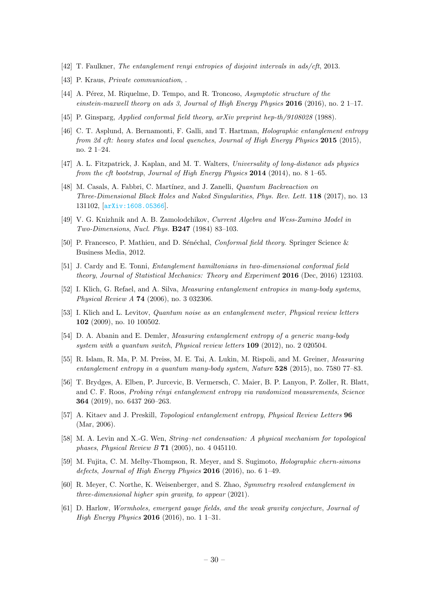- <span id="page-30-0"></span>[42] T. Faulkner, The entanglement renyi entropies of disjoint intervals in ads/cft, 2013.
- <span id="page-30-1"></span>[43] P. Kraus, *Private communication*,
- <span id="page-30-2"></span>[44] A. Pérez, M. Riquelme, D. Tempo, and R. Troncoso, Asymptotic structure of the einstein-maxwell theory on ads 3, Journal of High Energy Physics 2016 (2016), no. 2 1–17.
- <span id="page-30-3"></span>[45] P. Ginsparg, Applied conformal field theory, arXiv preprint hep-th/9108028 (1988).
- <span id="page-30-4"></span>[46] C. T. Asplund, A. Bernamonti, F. Galli, and T. Hartman, Holographic entanglement entropy from 2d cft: heavy states and local quenches, Journal of High Energy Physics 2015 (2015), no. 2 1–24.
- <span id="page-30-5"></span>[47] A. L. Fitzpatrick, J. Kaplan, and M. T. Walters, Universality of long-distance ads physics from the cft bootstrap, Journal of High Energy Physics  $2014$  (2014), no. 8 1–65.
- <span id="page-30-6"></span>[48] M. Casals, A. Fabbri, C. Martínez, and J. Zanelli, *Quantum Backreaction on* Three-Dimensional Black Holes and Naked Singularities, Phys. Rev. Lett. 118 (2017), no. 13 131102, [[arXiv:1608.05366](http://arxiv.org/abs/1608.05366)].
- <span id="page-30-7"></span>[49] V. G. Knizhnik and A. B. Zamolodchikov, Current Algebra and Wess-Zumino Model in Two-Dimensions, Nucl. Phys. B247 (1984) 83–103.
- <span id="page-30-8"></span>[50] P. Francesco, P. Mathieu, and D. Sénéchal, *Conformal field theory*. Springer Science & Business Media, 2012.
- <span id="page-30-9"></span>[51] J. Cardy and E. Tonni, Entanglement hamiltonians in two-dimensional conformal field theory, Journal of Statistical Mechanics: Theory and Experiment 2016 (Dec, 2016) 123103.
- <span id="page-30-10"></span>[52] I. Klich, G. Refael, and A. Silva, *Measuring entanglement entropies in many-body systems*. Physical Review A 74 (2006), no. 3 032306.
- [53] I. Klich and L. Levitov, Quantum noise as an entanglement meter, Physical review letters 102 (2009), no. 10 100502.
- [54] D. A. Abanin and E. Demler, Measuring entanglement entropy of a generic many-body system with a quantum switch, Physical review letters **109** (2012), no. 2 020504.
- [55] R. Islam, R. Ma, P. M. Preiss, M. E. Tai, A. Lukin, M. Rispoli, and M. Greiner, Measuring entanglement entropy in a quantum many-body system, Nature 528 (2015), no. 7580 77-83.
- <span id="page-30-11"></span>[56] T. Brydges, A. Elben, P. Jurcevic, B. Vermersch, C. Maier, B. P. Lanyon, P. Zoller, R. Blatt, and C. F. Roos, *Probing rényi entanglement entropy via randomized measurements, Science* 364 (2019), no. 6437 260–263.
- <span id="page-30-12"></span>[57] A. Kitaev and J. Preskill, *Topological entanglement entropy, Physical Review Letters* 96 (Mar, 2006).
- <span id="page-30-13"></span>[58] M. A. Levin and X.-G. Wen, *String–net condensation: A physical mechanism for topological* phases, Physical Review B 71 (2005), no. 4 045110.
- <span id="page-30-14"></span>[59] M. Fujita, C. M. Melby-Thompson, R. Meyer, and S. Sugimoto, Holographic chern-simons defects, Journal of High Energy Physics 2016 (2016), no. 6 1–49.
- <span id="page-30-15"></span>[60] R. Meyer, C. Northe, K. Weisenberger, and S. Zhao, Symmetry resolved entanglement in three-dimensional higher spin gravity, to appear (2021).
- <span id="page-30-16"></span>[61] D. Harlow, Wormholes, emergent gauge fields, and the weak gravity conjecture, Journal of High Energy Physics 2016 (2016), no. 1 1–31.